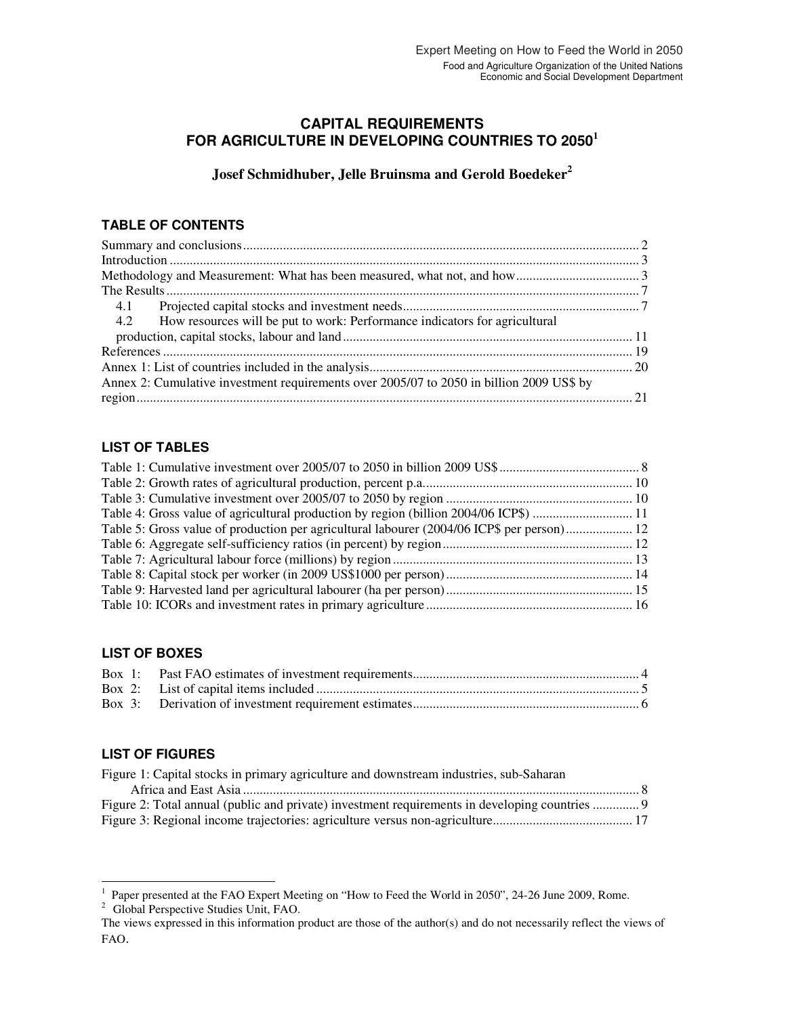# **CAPITAL REQUIREMENTS FOR AGRICULTURE IN DEVELOPING COUNTRIES TO 2050<sup>1</sup>**

**Josef Schmidhuber, Jelle Bruinsma and Gerold Boedeker<sup>2</sup>**

# **TABLE OF CONTENTS**

| 4.2 How resources will be put to work: Performance indicators for agricultural           |  |
|------------------------------------------------------------------------------------------|--|
|                                                                                          |  |
|                                                                                          |  |
|                                                                                          |  |
| Annex 2: Cumulative investment requirements over 2005/07 to 2050 in billion 2009 US\$ by |  |
|                                                                                          |  |

# **LIST OF TABLES**

| Table 5: Gross value of production per agricultural labourer (2004/06 ICP\$ per person) 12 |  |
|--------------------------------------------------------------------------------------------|--|
|                                                                                            |  |
|                                                                                            |  |
|                                                                                            |  |
|                                                                                            |  |
|                                                                                            |  |

# **LIST OF BOXES**

# **LIST OF FIGURES**

| Figure 1: Capital stocks in primary agriculture and downstream industries, sub-Saharan         |
|------------------------------------------------------------------------------------------------|
|                                                                                                |
| Figure 2: Total annual (public and private) investment requirements in developing countries  9 |
|                                                                                                |

 1 Paper presented at the FAO Expert Meeting on "How to Feed the World in 2050", 24-26 June 2009, Rome.

<sup>&</sup>lt;sup>2</sup> Global Perspective Studies Unit, FAO.

The views expressed in this information product are those of the author(s) and do not necessarily reflect the views of FAO.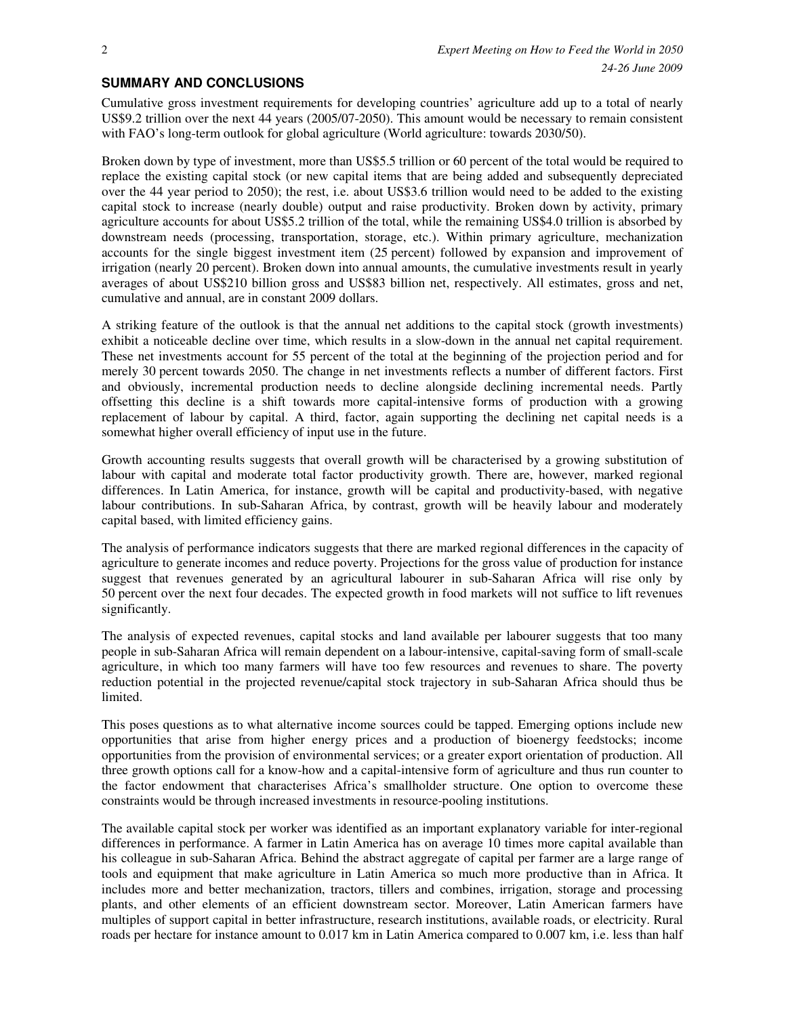## **SUMMARY AND CONCLUSIONS**

Cumulative gross investment requirements for developing countries' agriculture add up to a total of nearly US\$9.2 trillion over the next 44 years (2005/07-2050). This amount would be necessary to remain consistent with FAO's long-term outlook for global agriculture (World agriculture: towards 2030/50).

Broken down by type of investment, more than US\$5.5 trillion or 60 percent of the total would be required to replace the existing capital stock (or new capital items that are being added and subsequently depreciated over the 44 year period to 2050); the rest, i.e. about US\$3.6 trillion would need to be added to the existing capital stock to increase (nearly double) output and raise productivity. Broken down by activity, primary agriculture accounts for about US\$5.2 trillion of the total, while the remaining US\$4.0 trillion is absorbed by downstream needs (processing, transportation, storage, etc.). Within primary agriculture, mechanization accounts for the single biggest investment item (25 percent) followed by expansion and improvement of irrigation (nearly 20 percent). Broken down into annual amounts, the cumulative investments result in yearly averages of about US\$210 billion gross and US\$83 billion net, respectively. All estimates, gross and net, cumulative and annual, are in constant 2009 dollars.

A striking feature of the outlook is that the annual net additions to the capital stock (growth investments) exhibit a noticeable decline over time, which results in a slow-down in the annual net capital requirement. These net investments account for 55 percent of the total at the beginning of the projection period and for merely 30 percent towards 2050. The change in net investments reflects a number of different factors. First and obviously, incremental production needs to decline alongside declining incremental needs. Partly offsetting this decline is a shift towards more capital-intensive forms of production with a growing replacement of labour by capital. A third, factor, again supporting the declining net capital needs is a somewhat higher overall efficiency of input use in the future.

Growth accounting results suggests that overall growth will be characterised by a growing substitution of labour with capital and moderate total factor productivity growth. There are, however, marked regional differences. In Latin America, for instance, growth will be capital and productivity-based, with negative labour contributions. In sub-Saharan Africa, by contrast, growth will be heavily labour and moderately capital based, with limited efficiency gains.

The analysis of performance indicators suggests that there are marked regional differences in the capacity of agriculture to generate incomes and reduce poverty. Projections for the gross value of production for instance suggest that revenues generated by an agricultural labourer in sub-Saharan Africa will rise only by 50 percent over the next four decades. The expected growth in food markets will not suffice to lift revenues significantly.

The analysis of expected revenues, capital stocks and land available per labourer suggests that too many people in sub-Saharan Africa will remain dependent on a labour-intensive, capital-saving form of small-scale agriculture, in which too many farmers will have too few resources and revenues to share. The poverty reduction potential in the projected revenue/capital stock trajectory in sub-Saharan Africa should thus be limited.

This poses questions as to what alternative income sources could be tapped. Emerging options include new opportunities that arise from higher energy prices and a production of bioenergy feedstocks; income opportunities from the provision of environmental services; or a greater export orientation of production. All three growth options call for a know-how and a capital-intensive form of agriculture and thus run counter to the factor endowment that characterises Africa's smallholder structure. One option to overcome these constraints would be through increased investments in resource-pooling institutions.

The available capital stock per worker was identified as an important explanatory variable for inter-regional differences in performance. A farmer in Latin America has on average 10 times more capital available than his colleague in sub-Saharan Africa. Behind the abstract aggregate of capital per farmer are a large range of tools and equipment that make agriculture in Latin America so much more productive than in Africa. It includes more and better mechanization, tractors, tillers and combines, irrigation, storage and processing plants, and other elements of an efficient downstream sector. Moreover, Latin American farmers have multiples of support capital in better infrastructure, research institutions, available roads, or electricity. Rural roads per hectare for instance amount to 0.017 km in Latin America compared to 0.007 km, i.e. less than half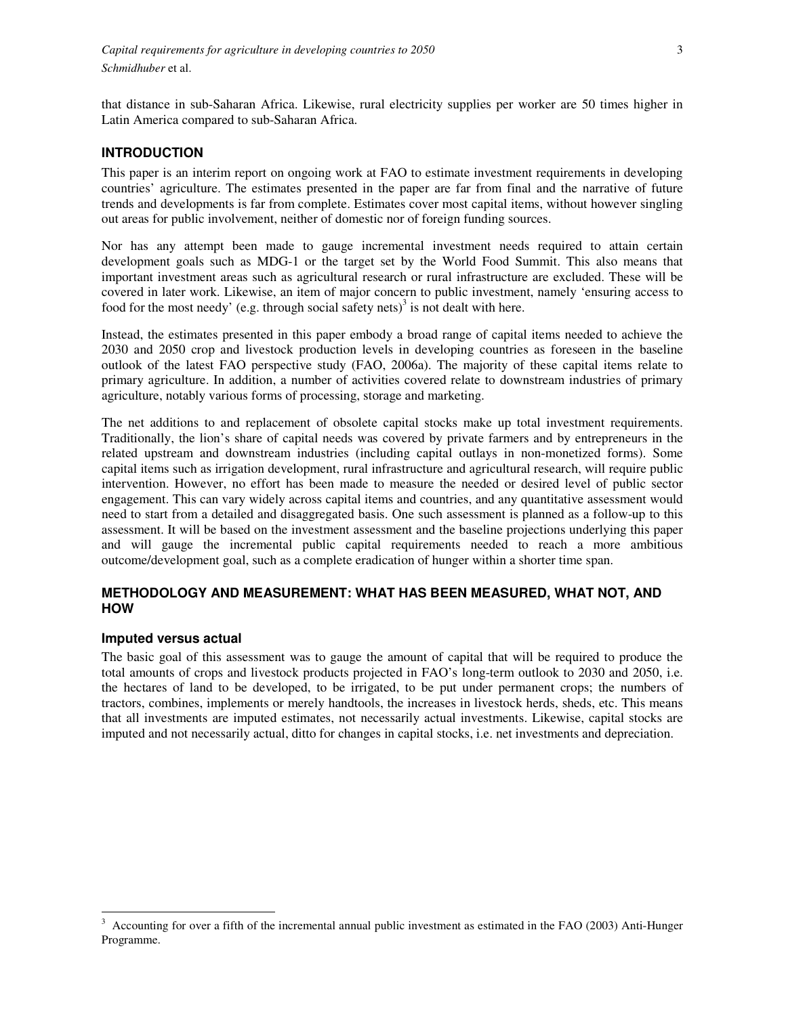that distance in sub-Saharan Africa. Likewise, rural electricity supplies per worker are 50 times higher in Latin America compared to sub-Saharan Africa.

#### **INTRODUCTION**

This paper is an interim report on ongoing work at FAO to estimate investment requirements in developing countries' agriculture. The estimates presented in the paper are far from final and the narrative of future trends and developments is far from complete. Estimates cover most capital items, without however singling out areas for public involvement, neither of domestic nor of foreign funding sources.

Nor has any attempt been made to gauge incremental investment needs required to attain certain development goals such as MDG-1 or the target set by the World Food Summit. This also means that important investment areas such as agricultural research or rural infrastructure are excluded. These will be covered in later work. Likewise, an item of major concern to public investment, namely 'ensuring access to food for the most needy' (e.g. through social safety nets) $3$  is not dealt with here.

Instead, the estimates presented in this paper embody a broad range of capital items needed to achieve the 2030 and 2050 crop and livestock production levels in developing countries as foreseen in the baseline outlook of the latest FAO perspective study (FAO, 2006a). The majority of these capital items relate to primary agriculture. In addition, a number of activities covered relate to downstream industries of primary agriculture, notably various forms of processing, storage and marketing.

The net additions to and replacement of obsolete capital stocks make up total investment requirements. Traditionally, the lion's share of capital needs was covered by private farmers and by entrepreneurs in the related upstream and downstream industries (including capital outlays in non-monetized forms). Some capital items such as irrigation development, rural infrastructure and agricultural research, will require public intervention. However, no effort has been made to measure the needed or desired level of public sector engagement. This can vary widely across capital items and countries, and any quantitative assessment would need to start from a detailed and disaggregated basis. One such assessment is planned as a follow-up to this assessment. It will be based on the investment assessment and the baseline projections underlying this paper and will gauge the incremental public capital requirements needed to reach a more ambitious outcome/development goal, such as a complete eradication of hunger within a shorter time span.

### **METHODOLOGY AND MEASUREMENT: WHAT HAS BEEN MEASURED, WHAT NOT, AND HOW**

#### **Imputed versus actual**

 $\overline{a}$ 

The basic goal of this assessment was to gauge the amount of capital that will be required to produce the total amounts of crops and livestock products projected in FAO's long-term outlook to 2030 and 2050, i.e. the hectares of land to be developed, to be irrigated, to be put under permanent crops; the numbers of tractors, combines, implements or merely handtools, the increases in livestock herds, sheds, etc. This means that all investments are imputed estimates, not necessarily actual investments. Likewise, capital stocks are imputed and not necessarily actual, ditto for changes in capital stocks, i.e. net investments and depreciation.

 $3$  Accounting for over a fifth of the incremental annual public investment as estimated in the FAO (2003) Anti-Hunger Programme.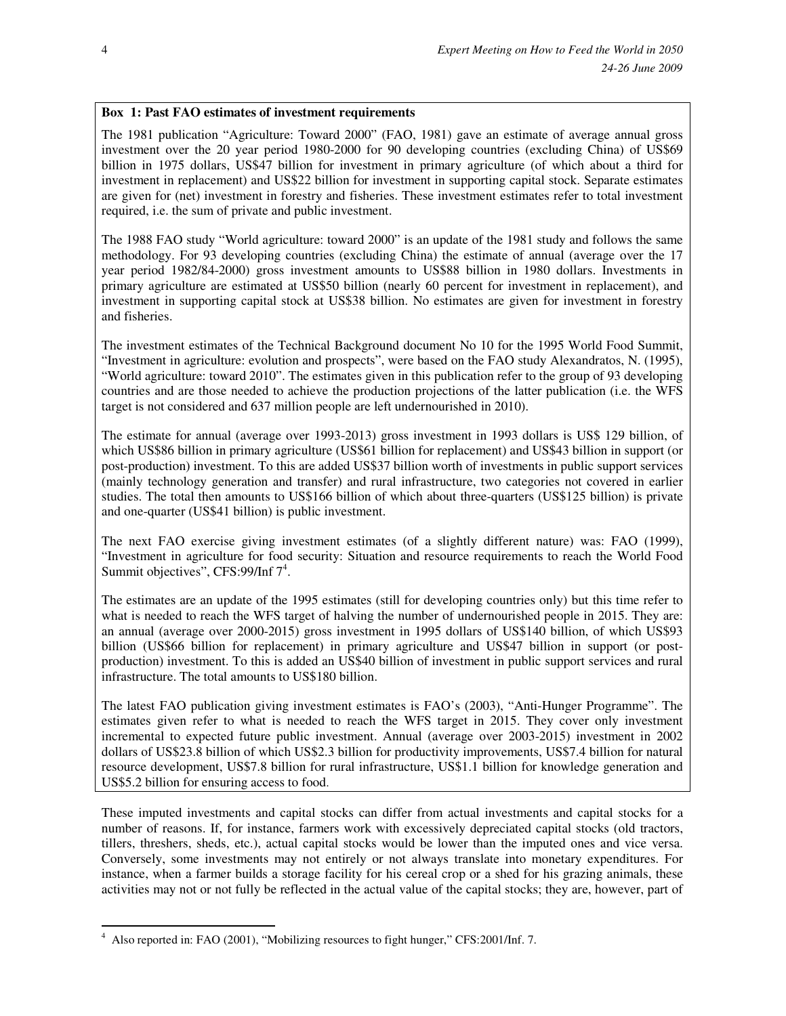# **Box 1: Past FAO estimates of investment requirements**

The 1981 publication "Agriculture: Toward 2000" (FAO, 1981) gave an estimate of average annual gross investment over the 20 year period 1980-2000 for 90 developing countries (excluding China) of US\$69 billion in 1975 dollars, US\$47 billion for investment in primary agriculture (of which about a third for investment in replacement) and US\$22 billion for investment in supporting capital stock. Separate estimates are given for (net) investment in forestry and fisheries. These investment estimates refer to total investment required, i.e. the sum of private and public investment.

The 1988 FAO study "World agriculture: toward 2000" is an update of the 1981 study and follows the same methodology. For 93 developing countries (excluding China) the estimate of annual (average over the 17 year period 1982/84-2000) gross investment amounts to US\$88 billion in 1980 dollars. Investments in primary agriculture are estimated at US\$50 billion (nearly 60 percent for investment in replacement), and investment in supporting capital stock at US\$38 billion. No estimates are given for investment in forestry and fisheries.

The investment estimates of the Technical Background document No 10 for the 1995 World Food Summit, "Investment in agriculture: evolution and prospects", were based on the FAO study Alexandratos, N. (1995), "World agriculture: toward 2010". The estimates given in this publication refer to the group of 93 developing countries and are those needed to achieve the production projections of the latter publication (i.e. the WFS target is not considered and 637 million people are left undernourished in 2010).

The estimate for annual (average over 1993-2013) gross investment in 1993 dollars is US\$ 129 billion, of which US\$86 billion in primary agriculture (US\$61 billion for replacement) and US\$43 billion in support (or post-production) investment. To this are added US\$37 billion worth of investments in public support services (mainly technology generation and transfer) and rural infrastructure, two categories not covered in earlier studies. The total then amounts to US\$166 billion of which about three-quarters (US\$125 billion) is private and one-quarter (US\$41 billion) is public investment.

The next FAO exercise giving investment estimates (of a slightly different nature) was: FAO (1999), "Investment in agriculture for food security: Situation and resource requirements to reach the World Food Summit objectives", CFS:99/Inf 7<sup>4</sup>.

The estimates are an update of the 1995 estimates (still for developing countries only) but this time refer to what is needed to reach the WFS target of halving the number of undernourished people in 2015. They are: an annual (average over 2000-2015) gross investment in 1995 dollars of US\$140 billion, of which US\$93 billion (US\$66 billion for replacement) in primary agriculture and US\$47 billion in support (or postproduction) investment. To this is added an US\$40 billion of investment in public support services and rural infrastructure. The total amounts to US\$180 billion.

The latest FAO publication giving investment estimates is FAO's (2003), "Anti-Hunger Programme". The estimates given refer to what is needed to reach the WFS target in 2015. They cover only investment incremental to expected future public investment. Annual (average over 2003-2015) investment in 2002 dollars of US\$23.8 billion of which US\$2.3 billion for productivity improvements, US\$7.4 billion for natural resource development, US\$7.8 billion for rural infrastructure, US\$1.1 billion for knowledge generation and US\$5.2 billion for ensuring access to food.

These imputed investments and capital stocks can differ from actual investments and capital stocks for a number of reasons. If, for instance, farmers work with excessively depreciated capital stocks (old tractors, tillers, threshers, sheds, etc.), actual capital stocks would be lower than the imputed ones and vice versa. Conversely, some investments may not entirely or not always translate into monetary expenditures. For instance, when a farmer builds a storage facility for his cereal crop or a shed for his grazing animals, these activities may not or not fully be reflected in the actual value of the capital stocks; they are, however, part of

 $\overline{a}$ <sup>4</sup> Also reported in: FAO (2001), "Mobilizing resources to fight hunger," CFS:2001/Inf. 7.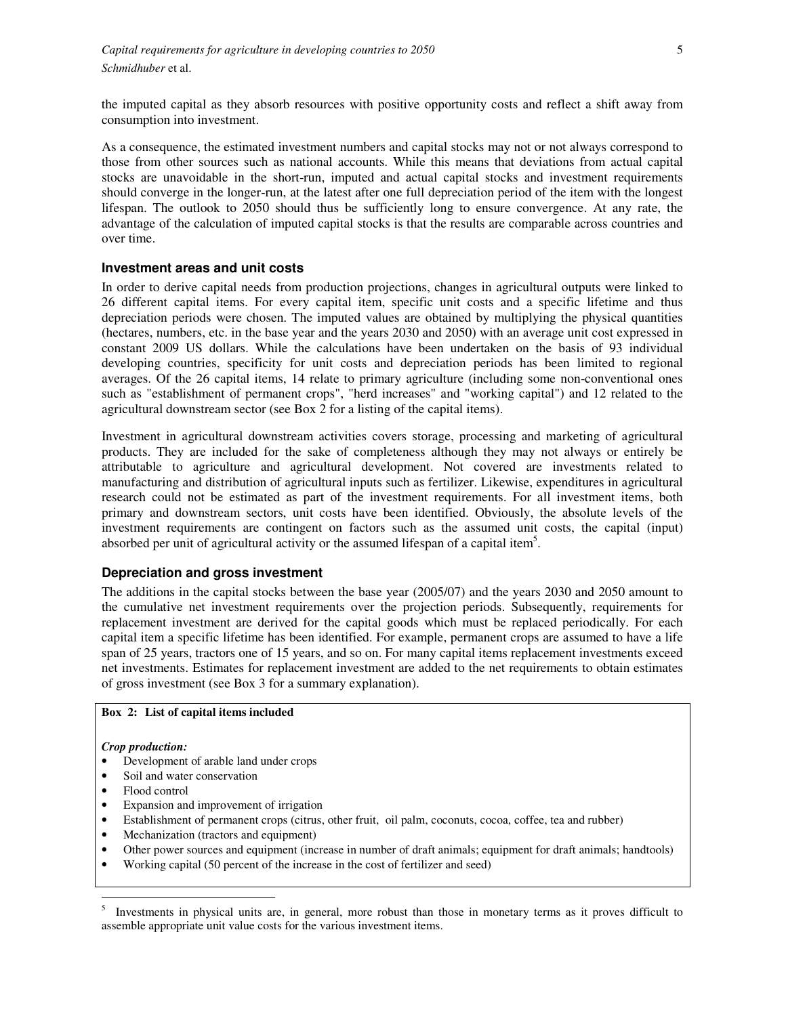the imputed capital as they absorb resources with positive opportunity costs and reflect a shift away from consumption into investment.

As a consequence, the estimated investment numbers and capital stocks may not or not always correspond to those from other sources such as national accounts. While this means that deviations from actual capital stocks are unavoidable in the short-run, imputed and actual capital stocks and investment requirements should converge in the longer-run, at the latest after one full depreciation period of the item with the longest lifespan. The outlook to 2050 should thus be sufficiently long to ensure convergence. At any rate, the advantage of the calculation of imputed capital stocks is that the results are comparable across countries and over time.

#### **Investment areas and unit costs**

In order to derive capital needs from production projections, changes in agricultural outputs were linked to 26 different capital items. For every capital item, specific unit costs and a specific lifetime and thus depreciation periods were chosen. The imputed values are obtained by multiplying the physical quantities (hectares, numbers, etc. in the base year and the years 2030 and 2050) with an average unit cost expressed in constant 2009 US dollars. While the calculations have been undertaken on the basis of 93 individual developing countries, specificity for unit costs and depreciation periods has been limited to regional averages. Of the 26 capital items, 14 relate to primary agriculture (including some non-conventional ones such as "establishment of permanent crops", "herd increases" and "working capital") and 12 related to the agricultural downstream sector (see Box 2 for a listing of the capital items).

Investment in agricultural downstream activities covers storage, processing and marketing of agricultural products. They are included for the sake of completeness although they may not always or entirely be attributable to agriculture and agricultural development. Not covered are investments related to manufacturing and distribution of agricultural inputs such as fertilizer. Likewise, expenditures in agricultural research could not be estimated as part of the investment requirements. For all investment items, both primary and downstream sectors, unit costs have been identified. Obviously, the absolute levels of the investment requirements are contingent on factors such as the assumed unit costs, the capital (input) absorbed per unit of agricultural activity or the assumed lifespan of a capital item<sup>5</sup>.

#### **Depreciation and gross investment**

The additions in the capital stocks between the base year (2005/07) and the years 2030 and 2050 amount to the cumulative net investment requirements over the projection periods. Subsequently, requirements for replacement investment are derived for the capital goods which must be replaced periodically. For each capital item a specific lifetime has been identified. For example, permanent crops are assumed to have a life span of 25 years, tractors one of 15 years, and so on. For many capital items replacement investments exceed net investments. Estimates for replacement investment are added to the net requirements to obtain estimates of gross investment (see Box 3 for a summary explanation).

### **Box 2: List of capital items included**

#### *Crop production:*

- Development of arable land under crops
- Soil and water conservation
- Flood control
- Expansion and improvement of irrigation
- Establishment of permanent crops (citrus, other fruit, oil palm, coconuts, cocoa, coffee, tea and rubber)
- Mechanization (tractors and equipment)
- Other power sources and equipment (increase in number of draft animals; equipment for draft animals; handtools)
- Working capital (50 percent of the increase in the cost of fertilizer and seed)

 5 Investments in physical units are, in general, more robust than those in monetary terms as it proves difficult to assemble appropriate unit value costs for the various investment items.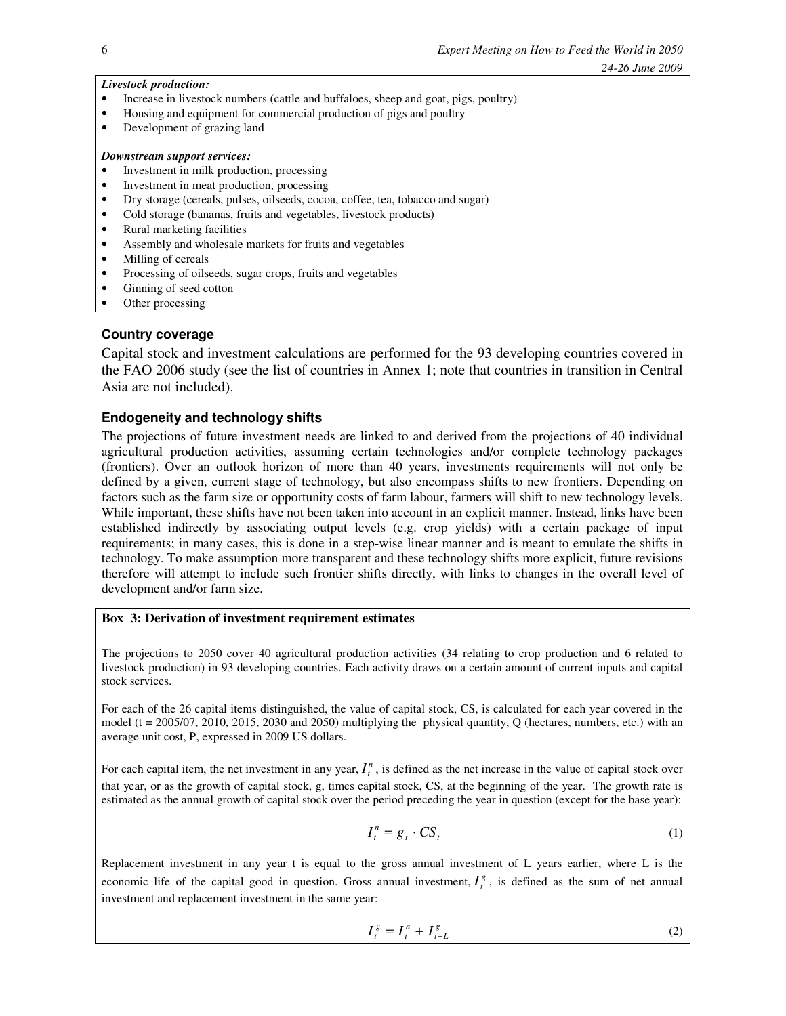#### *Livestock production:*

- Increase in livestock numbers (cattle and buffaloes, sheep and goat, pigs, poultry)
- Housing and equipment for commercial production of pigs and poultry
- Development of grazing land

#### *Downstream support services:*

- Investment in milk production, processing
- Investment in meat production, processing
- Dry storage (cereals, pulses, oilseeds, cocoa, coffee, tea, tobacco and sugar)
- Cold storage (bananas, fruits and vegetables, livestock products)
- Rural marketing facilities
- Assembly and wholesale markets for fruits and vegetables
- Milling of cereals
- Processing of oilseeds, sugar crops, fruits and vegetables
- Ginning of seed cotton
- Other processing

# **Country coverage**

Capital stock and investment calculations are performed for the 93 developing countries covered in the FAO 2006 study (see the list of countries in Annex 1; note that countries in transition in Central Asia are not included).

### **Endogeneity and technology shifts**

The projections of future investment needs are linked to and derived from the projections of 40 individual agricultural production activities, assuming certain technologies and/or complete technology packages (frontiers). Over an outlook horizon of more than 40 years, investments requirements will not only be defined by a given, current stage of technology, but also encompass shifts to new frontiers. Depending on factors such as the farm size or opportunity costs of farm labour, farmers will shift to new technology levels. While important, these shifts have not been taken into account in an explicit manner. Instead, links have been established indirectly by associating output levels (e.g. crop yields) with a certain package of input requirements; in many cases, this is done in a step-wise linear manner and is meant to emulate the shifts in technology. To make assumption more transparent and these technology shifts more explicit, future revisions therefore will attempt to include such frontier shifts directly, with links to changes in the overall level of development and/or farm size.

# **Box 3: Derivation of investment requirement estimates**

The projections to 2050 cover 40 agricultural production activities (34 relating to crop production and 6 related to livestock production) in 93 developing countries. Each activity draws on a certain amount of current inputs and capital stock services.

For each of the 26 capital items distinguished, the value of capital stock, CS, is calculated for each year covered in the model ( $t = 2005/07$ , 2010, 2015, 2030 and 2050) multiplying the physical quantity, Q (hectares, numbers, etc.) with an average unit cost, P, expressed in 2009 US dollars.

For each capital item, the net investment in any year,  $I_t^n$ , is defined as the net increase in the value of capital stock over that year, or as the growth of capital stock, g, times capital stock, CS, at the beginning of the year. The growth rate is estimated as the annual growth of capital stock over the period preceding the year in question (except for the base year):

$$
I_t^n = g_t \cdot CS_t \tag{1}
$$

Replacement investment in any year t is equal to the gross annual investment of L years earlier, where L is the economic life of the capital good in question. Gross annual investment,  $I_t^g$ , is defined as the sum of net annual investment and replacement investment in the same year:

$$
I_t^g = I_t^n + I_{t-L}^g \tag{2}
$$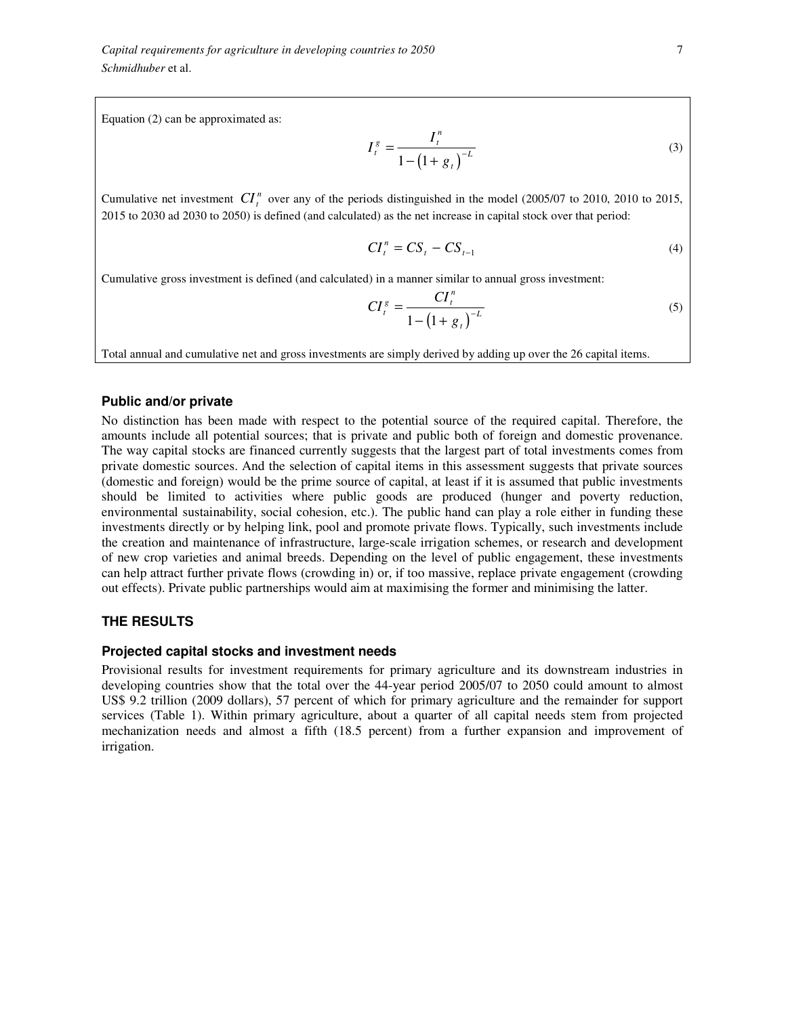*Capital requirements for agriculture in developing countries to 2050* 7 *Schmidhuber* et al.

Equation (2) can be approximated as:

$$
I_t^g = \frac{I_t^n}{1 - (1 + g_t)^{-L}}
$$
 (3)

Cumulative net investment  $CI_t^n$  over any of the periods distinguished in the model (2005/07 to 2010, 2010 to 2015, 2015 to 2030 ad 2030 to 2050) is defined (and calculated) as the net increase in capital stock over that period:

$$
CI_t^n = CS_t - CS_{t-1}
$$
 (4)

Cumulative gross investment is defined (and calculated) in a manner similar to annual gross investment:

$$
CI_t^s = \frac{CI_t^n}{1 - (1 + g_t)^{-L}}
$$
 (5)

Total annual and cumulative net and gross investments are simply derived by adding up over the 26 capital items.

### **Public and/or private**

No distinction has been made with respect to the potential source of the required capital. Therefore, the amounts include all potential sources; that is private and public both of foreign and domestic provenance. The way capital stocks are financed currently suggests that the largest part of total investments comes from private domestic sources. And the selection of capital items in this assessment suggests that private sources (domestic and foreign) would be the prime source of capital, at least if it is assumed that public investments should be limited to activities where public goods are produced (hunger and poverty reduction, environmental sustainability, social cohesion, etc.). The public hand can play a role either in funding these investments directly or by helping link, pool and promote private flows. Typically, such investments include the creation and maintenance of infrastructure, large-scale irrigation schemes, or research and development of new crop varieties and animal breeds. Depending on the level of public engagement, these investments can help attract further private flows (crowding in) or, if too massive, replace private engagement (crowding out effects). Private public partnerships would aim at maximising the former and minimising the latter.

#### **THE RESULTS**

#### **Projected capital stocks and investment needs**

Provisional results for investment requirements for primary agriculture and its downstream industries in developing countries show that the total over the 44-year period 2005/07 to 2050 could amount to almost US\$ 9.2 trillion (2009 dollars), 57 percent of which for primary agriculture and the remainder for support services (Table 1). Within primary agriculture, about a quarter of all capital needs stem from projected mechanization needs and almost a fifth (18.5 percent) from a further expansion and improvement of irrigation.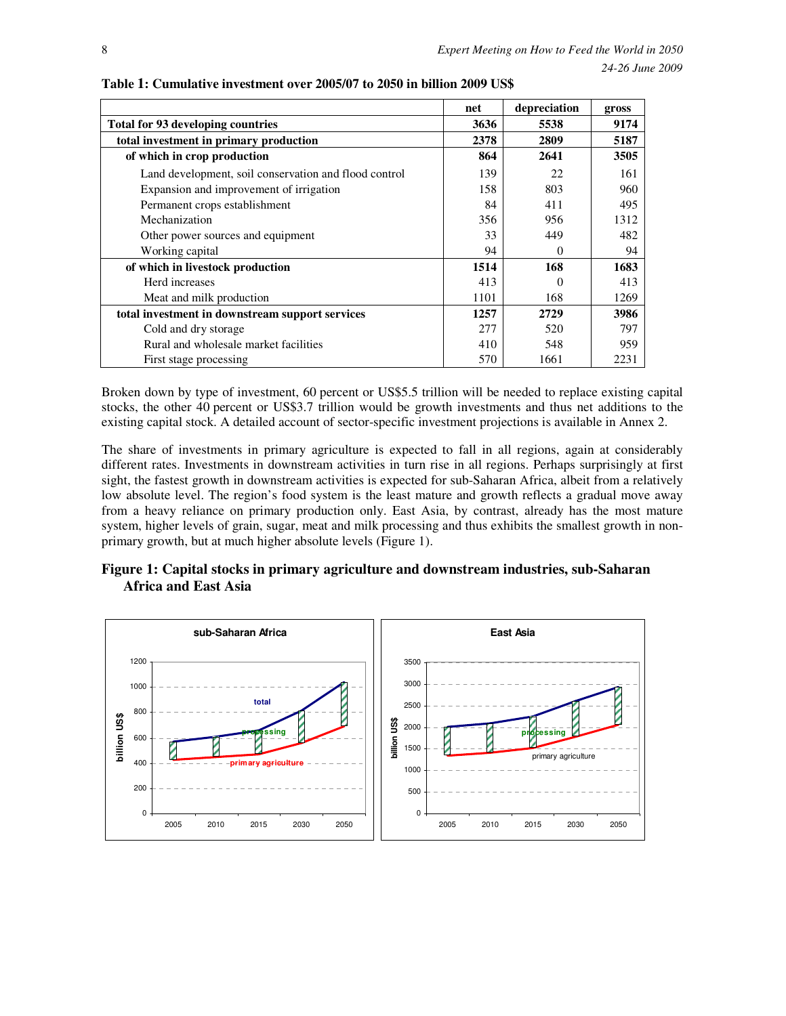|                                                       | net  | depreciation | gross |
|-------------------------------------------------------|------|--------------|-------|
| <b>Total for 93 developing countries</b>              | 3636 | 5538         | 9174  |
| total investment in primary production                | 2378 | 2809         | 5187  |
| of which in crop production                           | 864  | 2641         | 3505  |
| Land development, soil conservation and flood control | 139  | 22           | 161   |
| Expansion and improvement of irrigation               | 158  | 803          | 960   |
| Permanent crops establishment                         | 84   | 411          | 495   |
| Mechanization                                         | 356  | 956          | 1312  |
| Other power sources and equipment                     | 33   | 449          | 482   |
| Working capital                                       | 94   | $\Omega$     | 94    |
| of which in livestock production                      | 1514 | 168          | 1683  |
| Herd increases                                        | 413  |              | 413   |
| Meat and milk production                              | 1101 | 168          | 1269  |
| total investment in downstream support services       | 1257 | 2729         | 3986  |
| Cold and dry storage                                  | 277  | 520          | 797   |
| Rural and wholesale market facilities                 | 410  | 548          | 959   |
| First stage processing                                | 570  | 1661         | 2231  |

**Table 1: Cumulative investment over 2005/07 to 2050 in billion 2009 US\$** 

Broken down by type of investment, 60 percent or US\$5.5 trillion will be needed to replace existing capital stocks, the other 40 percent or US\$3.7 trillion would be growth investments and thus net additions to the existing capital stock. A detailed account of sector-specific investment projections is available in Annex 2.

The share of investments in primary agriculture is expected to fall in all regions, again at considerably different rates. Investments in downstream activities in turn rise in all regions. Perhaps surprisingly at first sight, the fastest growth in downstream activities is expected for sub-Saharan Africa, albeit from a relatively low absolute level. The region's food system is the least mature and growth reflects a gradual move away from a heavy reliance on primary production only. East Asia, by contrast, already has the most mature system, higher levels of grain, sugar, meat and milk processing and thus exhibits the smallest growth in nonprimary growth, but at much higher absolute levels (Figure 1).



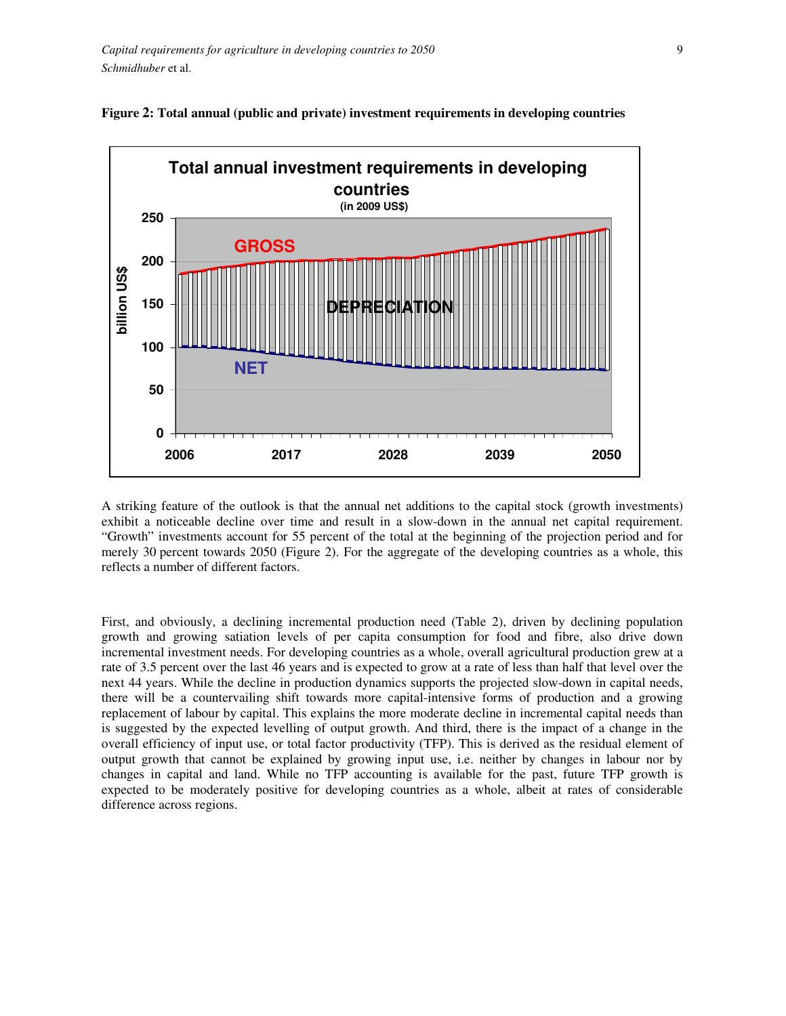



A striking feature of the outlook is that the annual net additions to the capital stock (growth investments) exhibit a noticeable decline over time and result in a slow-down in the annual net capital requirement. "Growth" investments account for 55 percent of the total at the beginning of the projection period and for merely 30 percent towards 2050 (Figure 2). For the aggregate of the developing countries as a whole, this reflects a number of different factors.

First, and obviously, a declining incremental production need (Table 2), driven by declining population growth and growing satiation levels of per capita consumption for food and fibre, also drive down incremental investment needs. For developing countries as a whole, overall agricultural production grew at a rate of 3.5 percent over the last 46 years and is expected to grow at a rate of less than half that level over the next 44 years. While the decline in production dynamics supports the projected slow-down in capital needs, there will be a countervailing shift towards more capital-intensive forms of production and a growing replacement of labour by capital. This explains the more moderate decline in incremental capital needs than is suggested by the expected levelling of output growth. And third, there is the impact of a change in the overall efficiency of input use, or total factor productivity (TFP). This is derived as the residual element of output growth that cannot be explained by growing input use, i.e. neither by changes in labour nor by changes in capital and land. While no TFP accounting is available for the past, future TFP growth is expected to be moderately positive for developing countries as a whole, albeit at rates of considerable difference across regions.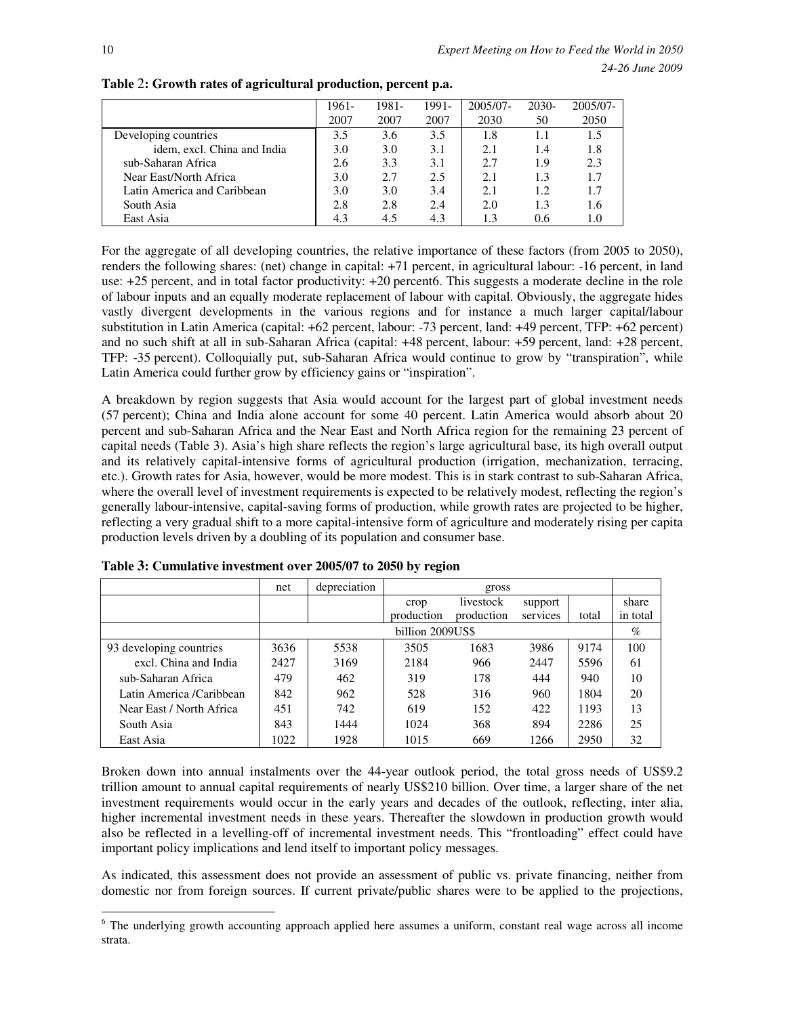|                             | 1961- | 1981- | 1991- | 2005/07- | 2030- | 2005/07- |
|-----------------------------|-------|-------|-------|----------|-------|----------|
|                             | 2007  | 2007  | 2007  | 2030     | 50    | 2050     |
| Developing countries        | 3.5   | 3.6   | 3.5   | 1.8      |       | 1.5      |
| idem, excl. China and India | 3.0   | 3.0   | 3.1   | 2.1      | 1.4   | 1.8      |
| sub-Saharan Africa          | 2.6   | 3.3   | 3.1   | 2.7      | 1.9   | 2.3      |
| Near East/North Africa      | 3.0   | 2.7   | 2.5   | 2.1      | 1.3   | 1.7      |
| Latin America and Caribbean | 3.0   | 3.0   | 3.4   | 2.1      | 1.2.  | 1.7      |
| South Asia                  | 2.8   | 2.8   | 2.4   | 2.0      | 1.3   | 1.6      |
| East Asia                   | 4.3   | 4.5   | 4.3   | 1.3      | 0.6   |          |

**Table** 2**: Growth rates of agricultural production, percent p.a.** 

For the aggregate of all developing countries, the relative importance of these factors (from 2005 to 2050), renders the following shares: (net) change in capital: +71 percent, in agricultural labour: -16 percent, in land use: +25 percent, and in total factor productivity: +20 percent6. This suggests a moderate decline in the role of labour inputs and an equally moderate replacement of labour with capital. Obviously, the aggregate hides vastly divergent developments in the various regions and for instance a much larger capital/labour substitution in Latin America (capital: +62 percent, labour: -73 percent, land: +49 percent, TFP: +62 percent) and no such shift at all in sub-Saharan Africa (capital: +48 percent, labour: +59 percent, land: +28 percent, TFP: -35 percent). Colloquially put, sub-Saharan Africa would continue to grow by "transpiration", while Latin America could further grow by efficiency gains or "inspiration".

A breakdown by region suggests that Asia would account for the largest part of global investment needs (57 percent); China and India alone account for some 40 percent. Latin America would absorb about 20 percent and sub-Saharan Africa and the Near East and North Africa region for the remaining 23 percent of capital needs (Table 3). Asia's high share reflects the region's large agricultural base, its high overall output and its relatively capital-intensive forms of agricultural production (irrigation, mechanization, terracing, etc.). Growth rates for Asia, however, would be more modest. This is in stark contrast to sub-Saharan Africa, where the overall level of investment requirements is expected to be relatively modest, reflecting the region's generally labour-intensive, capital-saving forms of production, while growth rates are projected to be higher, reflecting a very gradual shift to a more capital-intensive form of agriculture and moderately rising per capita production levels driven by a doubling of its population and consumer base.

|                          | net  | depreciation |                  | gross      |          |       |          |
|--------------------------|------|--------------|------------------|------------|----------|-------|----------|
|                          |      |              | crop             | livestock  | support  |       | share    |
|                          |      |              | production       | production | services | total | in total |
|                          |      |              | billion 2009US\$ |            |          |       | $\%$     |
| 93 developing countries  | 3636 | 5538         | 3505             | 1683       | 3986     | 9174  | 100      |
| excl. China and India    | 2427 | 3169         | 2184             | 966        | 2447     | 5596  | 61       |
| sub-Saharan Africa       | 479  | 462          | 319              | 178        | 444      | 940   | 10       |
| Latin America /Caribbean | 842  | 962          | 528              | 316        | 960      | 1804  | 20       |
| Near East / North Africa | 451  | 742          | 619              | 152        | 422      | 1193  | 13       |
| South Asia               | 843  | 1444         | 1024             | 368        | 894      | 2286  | 25       |
| East Asia                | 1022 | 1928         | 1015             | 669        | 1266     | 2950  | 32       |

**Table 3: Cumulative investment over 2005/07 to 2050 by region** 

Broken down into annual instalments over the 44-year outlook period, the total gross needs of US\$9.2 trillion amount to annual capital requirements of nearly US\$210 billion. Over time, a larger share of the net investment requirements would occur in the early years and decades of the outlook, reflecting, inter alia, higher incremental investment needs in these years. Thereafter the slowdown in production growth would also be reflected in a levelling-off of incremental investment needs. This "frontloading" effect could have important policy implications and lend itself to important policy messages.

As indicated, this assessment does not provide an assessment of public vs. private financing, neither from domestic nor from foreign sources. If current private/public shares were to be applied to the projections,

 $\overline{a}$ 

<sup>&</sup>lt;sup>6</sup> The underlying growth accounting approach applied here assumes a uniform, constant real wage across all income strata.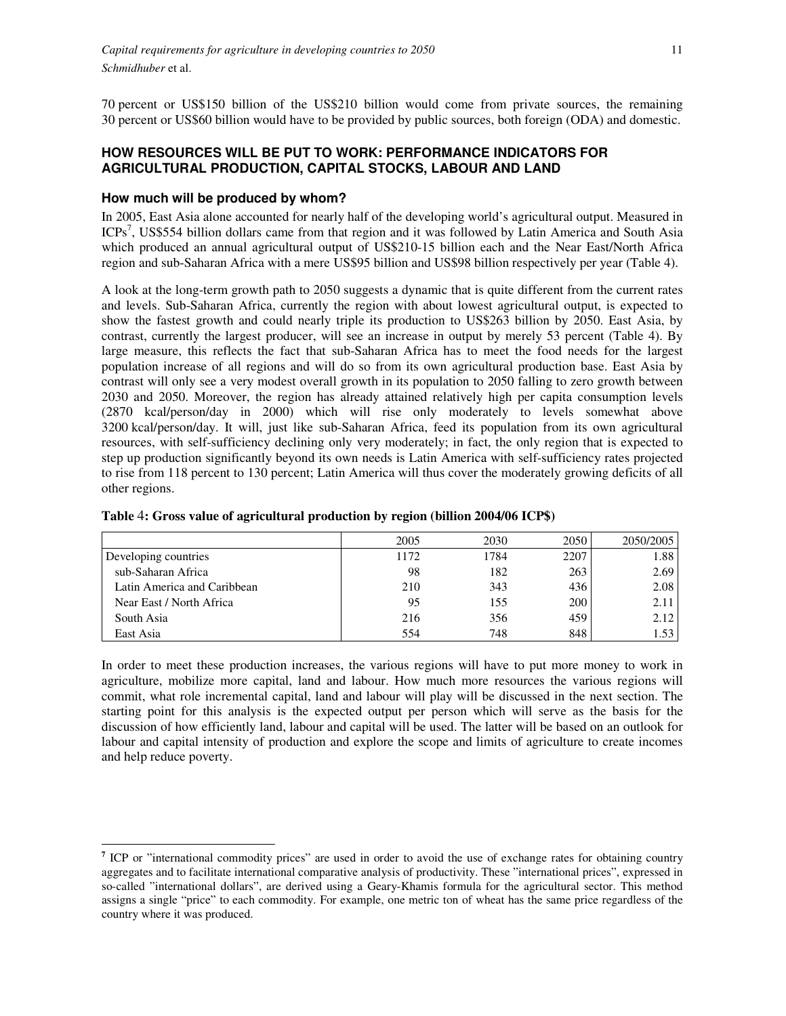70 percent or US\$150 billion of the US\$210 billion would come from private sources, the remaining 30 percent or US\$60 billion would have to be provided by public sources, both foreign (ODA) and domestic.

### **HOW RESOURCES WILL BE PUT TO WORK: PERFORMANCE INDICATORS FOR AGRICULTURAL PRODUCTION, CAPITAL STOCKS, LABOUR AND LAND**

#### **How much will be produced by whom?**

In 2005, East Asia alone accounted for nearly half of the developing world's agricultural output. Measured in ICPs<sup>7</sup>, US\$554 billion dollars came from that region and it was followed by Latin America and South Asia which produced an annual agricultural output of US\$210-15 billion each and the Near East/North Africa region and sub-Saharan Africa with a mere US\$95 billion and US\$98 billion respectively per year (Table 4).

A look at the long-term growth path to 2050 suggests a dynamic that is quite different from the current rates and levels. Sub-Saharan Africa, currently the region with about lowest agricultural output, is expected to show the fastest growth and could nearly triple its production to US\$263 billion by 2050. East Asia, by contrast, currently the largest producer, will see an increase in output by merely 53 percent (Table 4). By large measure, this reflects the fact that sub-Saharan Africa has to meet the food needs for the largest population increase of all regions and will do so from its own agricultural production base. East Asia by contrast will only see a very modest overall growth in its population to 2050 falling to zero growth between 2030 and 2050. Moreover, the region has already attained relatively high per capita consumption levels (2870 kcal/person/day in 2000) which will rise only moderately to levels somewhat above 3200 kcal/person/day. It will, just like sub-Saharan Africa, feed its population from its own agricultural resources, with self-sufficiency declining only very moderately; in fact, the only region that is expected to step up production significantly beyond its own needs is Latin America with self-sufficiency rates projected to rise from 118 percent to 130 percent; Latin America will thus cover the moderately growing deficits of all other regions.

|                             | 2005 | 2030 | 2050 | 2050/2005 |
|-----------------------------|------|------|------|-----------|
| Developing countries        | 1172 | 1784 | 2207 | 1.88      |
| sub-Saharan Africa          | 98   | 182  | 263  | 2.69      |
| Latin America and Caribbean | 210  | 343  | 436  | 2.08      |
| Near East / North Africa    | 95   | 155  | 200  | 2.11      |
| South Asia                  | 216  | 356  | 459  | 2.12      |
| East Asia                   | 554  | 748  | 848  | 1.53      |

**Table** 4**: Gross value of agricultural production by region (billion 2004/06 ICP\$)** 

In order to meet these production increases, the various regions will have to put more money to work in agriculture, mobilize more capital, land and labour. How much more resources the various regions will commit, what role incremental capital, land and labour will play will be discussed in the next section. The starting point for this analysis is the expected output per person which will serve as the basis for the discussion of how efficiently land, labour and capital will be used. The latter will be based on an outlook for labour and capital intensity of production and explore the scope and limits of agriculture to create incomes and help reduce poverty.

 $\ddot{\phantom{a}}$ <sup>7</sup> ICP or "international commodity prices" are used in order to avoid the use of exchange rates for obtaining country aggregates and to facilitate international comparative analysis of productivity. These "international prices", expressed in so-called "international dollars", are derived using a Geary-Khamis formula for the agricultural sector. This method assigns a single "price" to each commodity. For example, one metric ton of wheat has the same price regardless of the country where it was produced.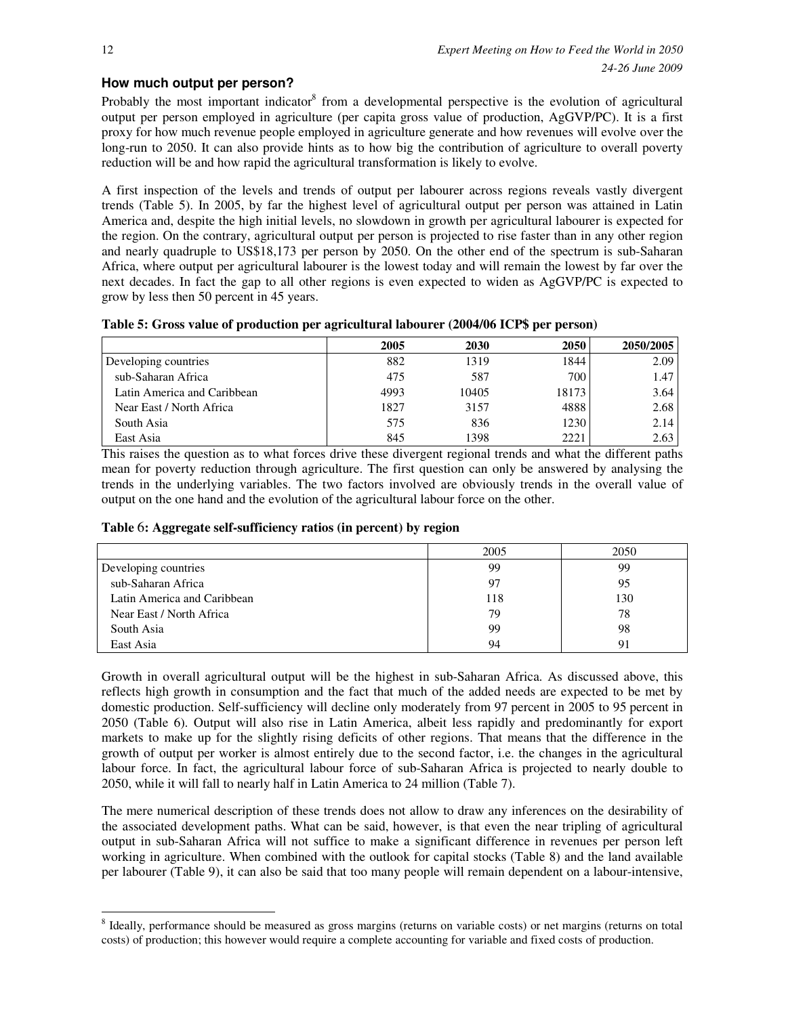### **How much output per person?**

Probably the most important indicator<sup>8</sup> from a developmental perspective is the evolution of agricultural output per person employed in agriculture (per capita gross value of production, AgGVP/PC). It is a first proxy for how much revenue people employed in agriculture generate and how revenues will evolve over the long-run to 2050. It can also provide hints as to how big the contribution of agriculture to overall poverty reduction will be and how rapid the agricultural transformation is likely to evolve.

A first inspection of the levels and trends of output per labourer across regions reveals vastly divergent trends (Table 5). In 2005, by far the highest level of agricultural output per person was attained in Latin America and, despite the high initial levels, no slowdown in growth per agricultural labourer is expected for the region. On the contrary, agricultural output per person is projected to rise faster than in any other region and nearly quadruple to US\$18,173 per person by 2050. On the other end of the spectrum is sub-Saharan Africa, where output per agricultural labourer is the lowest today and will remain the lowest by far over the next decades. In fact the gap to all other regions is even expected to widen as AgGVP/PC is expected to grow by less then 50 percent in 45 years.

|  |  | Table 5: Gross value of production per agricultural labourer (2004/06 ICP\$ per person) |  |  |
|--|--|-----------------------------------------------------------------------------------------|--|--|
|--|--|-----------------------------------------------------------------------------------------|--|--|

|                             | 2005 | 2030  | <b>2050</b> | 2050/2005 |
|-----------------------------|------|-------|-------------|-----------|
| Developing countries        | 882  | 1319  | 1844        | 2.09      |
| sub-Saharan Africa          | 475  | 587   | 700         | 1.47      |
| Latin America and Caribbean | 4993 | 10405 | 18173       | 3.64      |
| Near East / North Africa    | 1827 | 3157  | 4888        | 2.68      |
| South Asia                  | 575  | 836   | 1230        | 2.14      |
| East Asia                   | 845  | 1398  | 2221        | 2.63      |

This raises the question as to what forces drive these divergent regional trends and what the different paths mean for poverty reduction through agriculture. The first question can only be answered by analysing the trends in the underlying variables. The two factors involved are obviously trends in the overall value of output on the one hand and the evolution of the agricultural labour force on the other.

#### **Table** 6**: Aggregate self-sufficiency ratios (in percent) by region**

|                             | 2005 | 2050 |
|-----------------------------|------|------|
| Developing countries        | 99   | 99   |
| sub-Saharan Africa          | 97   | 95   |
| Latin America and Caribbean | 118  | 130  |
| Near East / North Africa    | 79   | 78   |
| South Asia                  | 99   | 98   |
| East Asia                   | 94   | 91   |

Growth in overall agricultural output will be the highest in sub-Saharan Africa. As discussed above, this reflects high growth in consumption and the fact that much of the added needs are expected to be met by domestic production. Self-sufficiency will decline only moderately from 97 percent in 2005 to 95 percent in 2050 (Table 6). Output will also rise in Latin America, albeit less rapidly and predominantly for export markets to make up for the slightly rising deficits of other regions. That means that the difference in the growth of output per worker is almost entirely due to the second factor, i.e. the changes in the agricultural labour force. In fact, the agricultural labour force of sub-Saharan Africa is projected to nearly double to 2050, while it will fall to nearly half in Latin America to 24 million (Table 7).

The mere numerical description of these trends does not allow to draw any inferences on the desirability of the associated development paths. What can be said, however, is that even the near tripling of agricultural output in sub-Saharan Africa will not suffice to make a significant difference in revenues per person left working in agriculture. When combined with the outlook for capital stocks (Table 8) and the land available per labourer (Table 9), it can also be said that too many people will remain dependent on a labour-intensive,

 $\overline{a}$ 

<sup>&</sup>lt;sup>8</sup> Ideally, performance should be measured as gross margins (returns on variable costs) or net margins (returns on total costs) of production; this however would require a complete accounting for variable and fixed costs of production.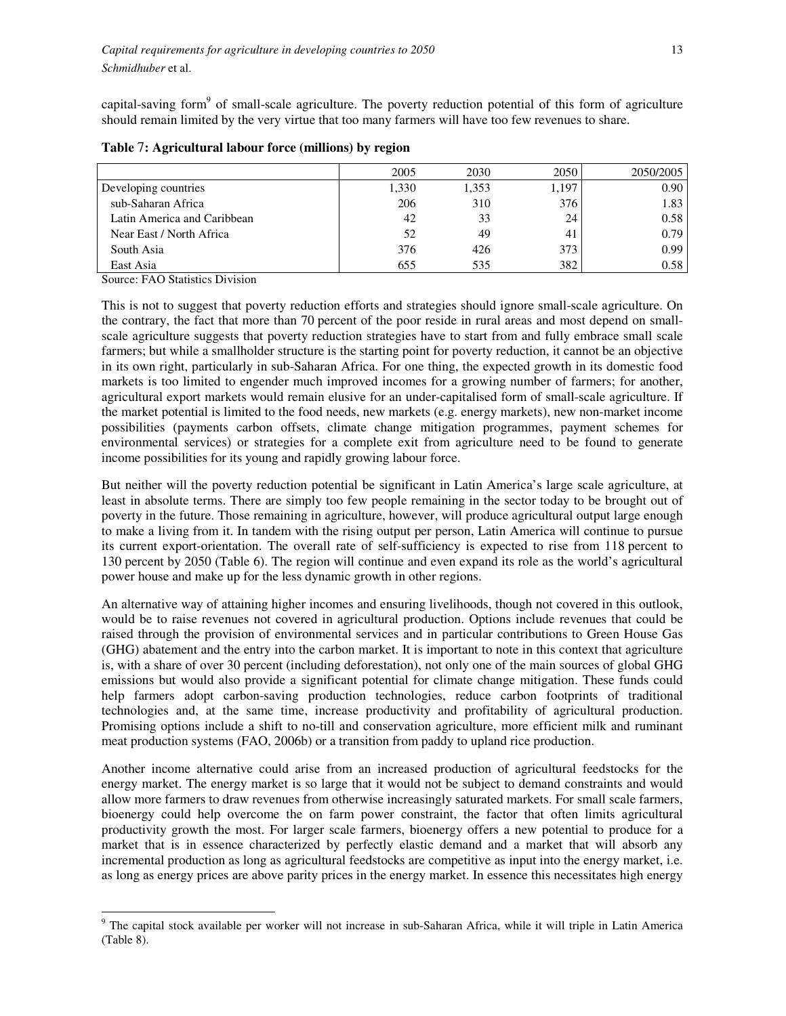capital-saving form<sup>9</sup> of small-scale agriculture. The poverty reduction potential of this form of agriculture should remain limited by the very virtue that too many farmers will have too few revenues to share.

|                             | 2005  | 2030  | 2050  | 2050/2005 |
|-----------------------------|-------|-------|-------|-----------|
| Developing countries        | 1,330 | 1,353 | 1,197 | 0.90      |
| sub-Saharan Africa          | 206   | 310   | 376   | 1.83      |
| Latin America and Caribbean | 42    | 33    | 24    | 0.58      |
| Near East / North Africa    | 52    | 49    | 41    | 0.79      |
| South Asia                  | 376   | 426   | 373   | 0.99      |
| East Asia                   | 655   | 535   | 382   | 0.58      |

**Table** 7**: Agricultural labour force (millions) by region** 

Source: FAO Statistics Division

 $\overline{a}$ 

This is not to suggest that poverty reduction efforts and strategies should ignore small-scale agriculture. On the contrary, the fact that more than 70 percent of the poor reside in rural areas and most depend on smallscale agriculture suggests that poverty reduction strategies have to start from and fully embrace small scale farmers; but while a smallholder structure is the starting point for poverty reduction, it cannot be an objective in its own right, particularly in sub-Saharan Africa. For one thing, the expected growth in its domestic food markets is too limited to engender much improved incomes for a growing number of farmers; for another, agricultural export markets would remain elusive for an under-capitalised form of small-scale agriculture. If the market potential is limited to the food needs, new markets (e.g. energy markets), new non-market income possibilities (payments carbon offsets, climate change mitigation programmes, payment schemes for environmental services) or strategies for a complete exit from agriculture need to be found to generate income possibilities for its young and rapidly growing labour force.

But neither will the poverty reduction potential be significant in Latin America's large scale agriculture, at least in absolute terms. There are simply too few people remaining in the sector today to be brought out of poverty in the future. Those remaining in agriculture, however, will produce agricultural output large enough to make a living from it. In tandem with the rising output per person, Latin America will continue to pursue its current export-orientation. The overall rate of self-sufficiency is expected to rise from 118 percent to 130 percent by 2050 (Table 6). The region will continue and even expand its role as the world's agricultural power house and make up for the less dynamic growth in other regions.

An alternative way of attaining higher incomes and ensuring livelihoods, though not covered in this outlook, would be to raise revenues not covered in agricultural production. Options include revenues that could be raised through the provision of environmental services and in particular contributions to Green House Gas (GHG) abatement and the entry into the carbon market. It is important to note in this context that agriculture is, with a share of over 30 percent (including deforestation), not only one of the main sources of global GHG emissions but would also provide a significant potential for climate change mitigation. These funds could help farmers adopt carbon-saving production technologies, reduce carbon footprints of traditional technologies and, at the same time, increase productivity and profitability of agricultural production. Promising options include a shift to no-till and conservation agriculture, more efficient milk and ruminant meat production systems (FAO, 2006b) or a transition from paddy to upland rice production.

Another income alternative could arise from an increased production of agricultural feedstocks for the energy market. The energy market is so large that it would not be subject to demand constraints and would allow more farmers to draw revenues from otherwise increasingly saturated markets. For small scale farmers, bioenergy could help overcome the on farm power constraint, the factor that often limits agricultural productivity growth the most. For larger scale farmers, bioenergy offers a new potential to produce for a market that is in essence characterized by perfectly elastic demand and a market that will absorb any incremental production as long as agricultural feedstocks are competitive as input into the energy market, i.e. as long as energy prices are above parity prices in the energy market. In essence this necessitates high energy

<sup>&</sup>lt;sup>9</sup> The capital stock available per worker will not increase in sub-Saharan Africa, while it will triple in Latin America (Table 8).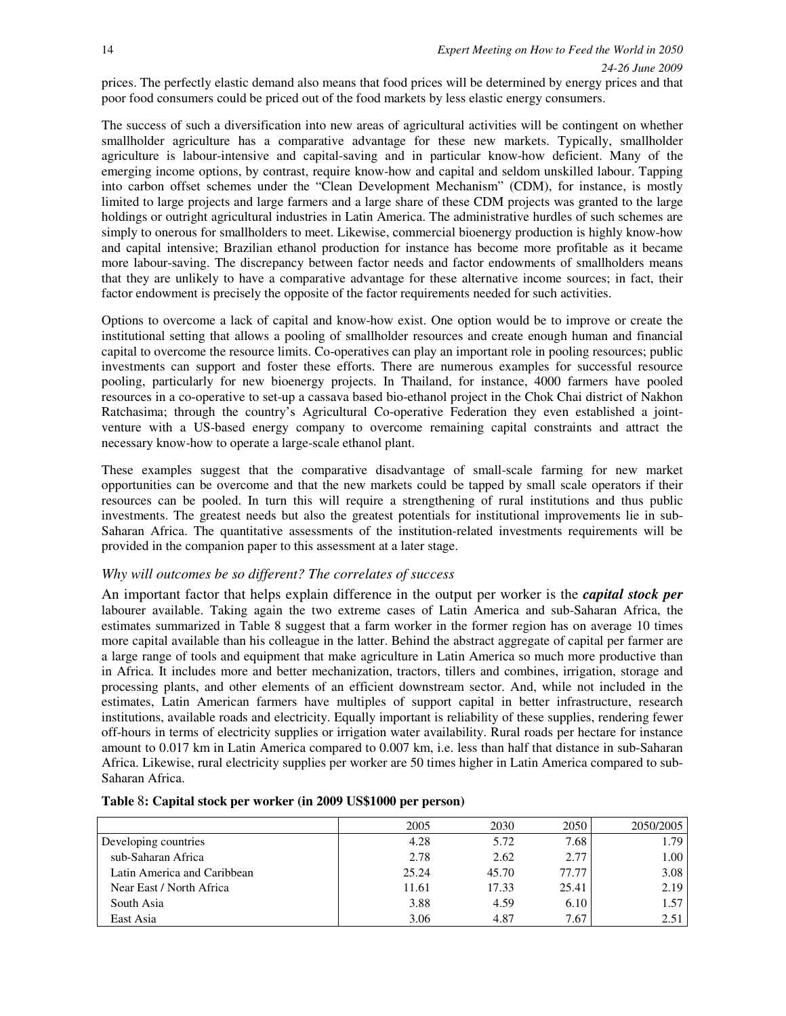prices. The perfectly elastic demand also means that food prices will be determined by energy prices and that poor food consumers could be priced out of the food markets by less elastic energy consumers.

The success of such a diversification into new areas of agricultural activities will be contingent on whether smallholder agriculture has a comparative advantage for these new markets. Typically, smallholder agriculture is labour-intensive and capital-saving and in particular know-how deficient. Many of the emerging income options, by contrast, require know-how and capital and seldom unskilled labour. Tapping into carbon offset schemes under the "Clean Development Mechanism" (CDM), for instance, is mostly limited to large projects and large farmers and a large share of these CDM projects was granted to the large holdings or outright agricultural industries in Latin America. The administrative hurdles of such schemes are simply to onerous for smallholders to meet. Likewise, commercial bioenergy production is highly know-how and capital intensive; Brazilian ethanol production for instance has become more profitable as it became more labour-saving. The discrepancy between factor needs and factor endowments of smallholders means that they are unlikely to have a comparative advantage for these alternative income sources; in fact, their factor endowment is precisely the opposite of the factor requirements needed for such activities.

Options to overcome a lack of capital and know-how exist. One option would be to improve or create the institutional setting that allows a pooling of smallholder resources and create enough human and financial capital to overcome the resource limits. Co-operatives can play an important role in pooling resources; public investments can support and foster these efforts. There are numerous examples for successful resource pooling, particularly for new bioenergy projects. In Thailand, for instance, 4000 farmers have pooled resources in a co-operative to set-up a cassava based bio-ethanol project in the Chok Chai district of Nakhon Ratchasima; through the country's Agricultural Co-operative Federation they even established a jointventure with a US-based energy company to overcome remaining capital constraints and attract the necessary know-how to operate a large-scale ethanol plant.

These examples suggest that the comparative disadvantage of small-scale farming for new market opportunities can be overcome and that the new markets could be tapped by small scale operators if their resources can be pooled. In turn this will require a strengthening of rural institutions and thus public investments. The greatest needs but also the greatest potentials for institutional improvements lie in sub-Saharan Africa. The quantitative assessments of the institution-related investments requirements will be provided in the companion paper to this assessment at a later stage.

### *Why will outcomes be so different? The correlates of success*

An important factor that helps explain difference in the output per worker is the *capital stock per*  labourer available. Taking again the two extreme cases of Latin America and sub-Saharan Africa, the estimates summarized in Table 8 suggest that a farm worker in the former region has on average 10 times more capital available than his colleague in the latter. Behind the abstract aggregate of capital per farmer are a large range of tools and equipment that make agriculture in Latin America so much more productive than in Africa. It includes more and better mechanization, tractors, tillers and combines, irrigation, storage and processing plants, and other elements of an efficient downstream sector. And, while not included in the estimates, Latin American farmers have multiples of support capital in better infrastructure, research institutions, available roads and electricity. Equally important is reliability of these supplies, rendering fewer off-hours in terms of electricity supplies or irrigation water availability. Rural roads per hectare for instance amount to 0.017 km in Latin America compared to 0.007 km, i.e. less than half that distance in sub-Saharan Africa. Likewise, rural electricity supplies per worker are 50 times higher in Latin America compared to sub-Saharan Africa.

|                             | 2005  | 2030  | 2050  | 2050/2005 |
|-----------------------------|-------|-------|-------|-----------|
| Developing countries        | 4.28  | 5.72  | 7.68  | 1.79      |
| sub-Saharan Africa          | 2.78  | 2.62  | 2.77  | 1.00      |
| Latin America and Caribbean | 25.24 | 45.70 | 77.77 | 3.08      |
| Near East / North Africa    | 11.61 | 17.33 | 25.41 | 2.19      |
| South Asia                  | 3.88  | 4.59  | 6.10  | 1.57      |
| East Asia                   | 3.06  | 4.87  | 7.67  | 2.51      |

|  |  | Table 8: Capital stock per worker (in 2009 US\$1000 per person) |  |  |
|--|--|-----------------------------------------------------------------|--|--|
|--|--|-----------------------------------------------------------------|--|--|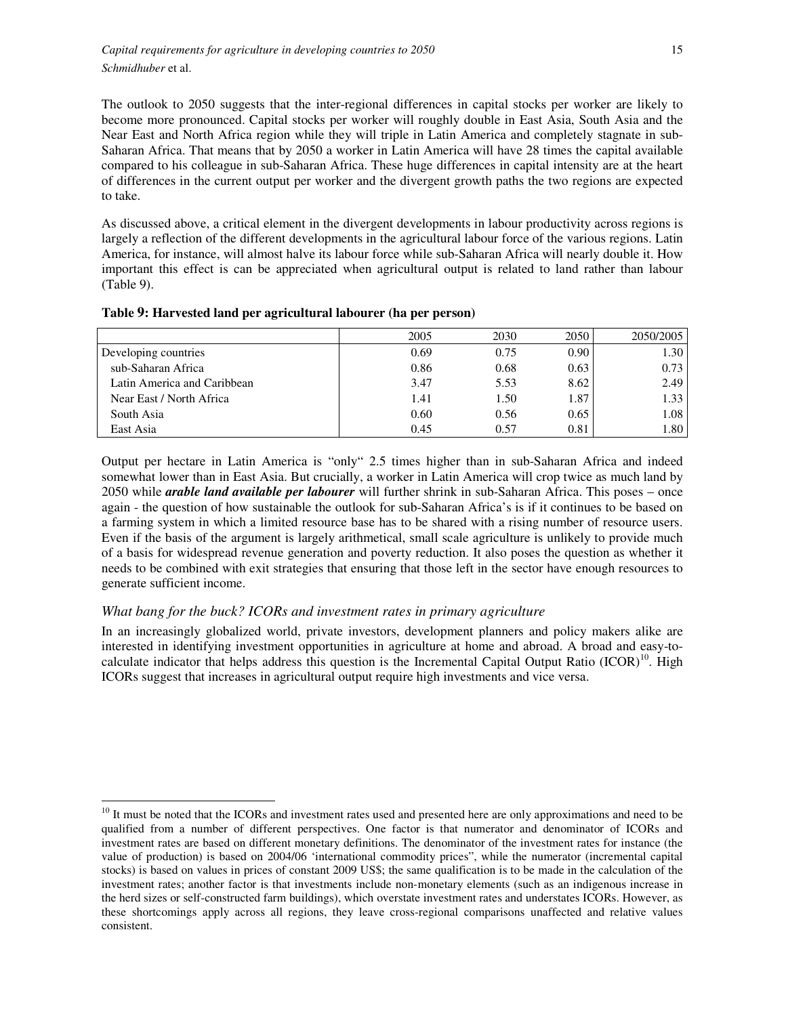The outlook to 2050 suggests that the inter-regional differences in capital stocks per worker are likely to become more pronounced. Capital stocks per worker will roughly double in East Asia, South Asia and the Near East and North Africa region while they will triple in Latin America and completely stagnate in sub-Saharan Africa. That means that by 2050 a worker in Latin America will have 28 times the capital available compared to his colleague in sub-Saharan Africa. These huge differences in capital intensity are at the heart of differences in the current output per worker and the divergent growth paths the two regions are expected to take.

As discussed above, a critical element in the divergent developments in labour productivity across regions is largely a reflection of the different developments in the agricultural labour force of the various regions. Latin America, for instance, will almost halve its labour force while sub-Saharan Africa will nearly double it. How important this effect is can be appreciated when agricultural output is related to land rather than labour (Table 9).

|                             | 2005 | 2030 | 2050 | 2050/2005 |
|-----------------------------|------|------|------|-----------|
| Developing countries        | 0.69 | 0.75 | 0.90 | 1.30      |
| sub-Saharan Africa          | 0.86 | 0.68 | 0.63 | 0.73      |
| Latin America and Caribbean | 3.47 | 5.53 | 8.62 | 2.49      |
| Near East / North Africa    | 1.41 | 1.50 | 1.87 | 1.33      |
| South Asia                  | 0.60 | 0.56 | 0.65 | 1.08      |
| East Asia                   | 0.45 | 0.57 | 0.81 | 1.80      |

**Table 9: Harvested land per agricultural labourer (ha per person)** 

Output per hectare in Latin America is "only" 2.5 times higher than in sub-Saharan Africa and indeed somewhat lower than in East Asia. But crucially, a worker in Latin America will crop twice as much land by 2050 while *arable land available per labourer* will further shrink in sub-Saharan Africa. This poses – once again - the question of how sustainable the outlook for sub-Saharan Africa's is if it continues to be based on a farming system in which a limited resource base has to be shared with a rising number of resource users. Even if the basis of the argument is largely arithmetical, small scale agriculture is unlikely to provide much of a basis for widespread revenue generation and poverty reduction. It also poses the question as whether it needs to be combined with exit strategies that ensuring that those left in the sector have enough resources to generate sufficient income.

### *What bang for the buck? ICORs and investment rates in primary agriculture*

In an increasingly globalized world, private investors, development planners and policy makers alike are interested in identifying investment opportunities in agriculture at home and abroad. A broad and easy-tocalculate indicator that helps address this question is the Incremental Capital Output Ratio  $(ICOR)^{10}$ . High ICORs suggest that increases in agricultural output require high investments and vice versa.

 $\overline{a}$ <sup>10</sup> It must be noted that the ICORs and investment rates used and presented here are only approximations and need to be qualified from a number of different perspectives. One factor is that numerator and denominator of ICORs and investment rates are based on different monetary definitions. The denominator of the investment rates for instance (the value of production) is based on 2004/06 'international commodity prices", while the numerator (incremental capital stocks) is based on values in prices of constant 2009 US\$; the same qualification is to be made in the calculation of the investment rates; another factor is that investments include non-monetary elements (such as an indigenous increase in the herd sizes or self-constructed farm buildings), which overstate investment rates and understates ICORs. However, as these shortcomings apply across all regions, they leave cross-regional comparisons unaffected and relative values consistent.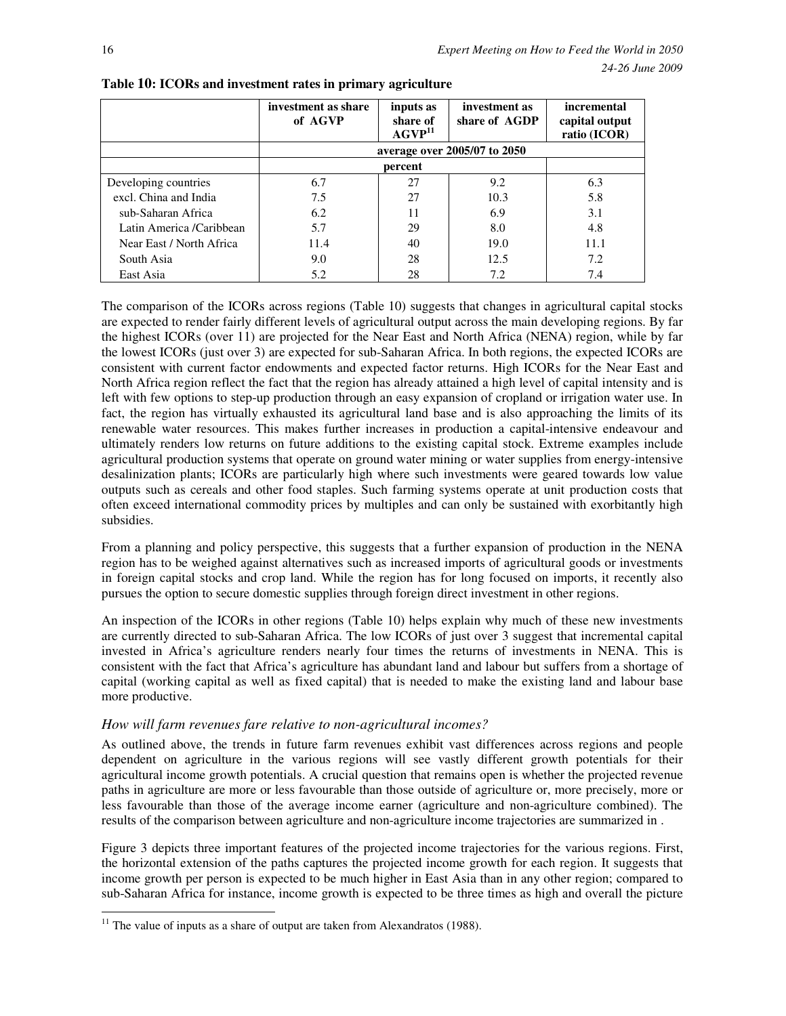|                          | investment as share<br>of AGVP | inputs as<br>share of<br>AGVP <sup>11</sup> | investment as<br>share of AGDP | incremental<br>capital output<br>ratio (ICOR) |  |  |  |  |  |  |
|--------------------------|--------------------------------|---------------------------------------------|--------------------------------|-----------------------------------------------|--|--|--|--|--|--|
|                          | average over 2005/07 to 2050   |                                             |                                |                                               |  |  |  |  |  |  |
|                          | percent                        |                                             |                                |                                               |  |  |  |  |  |  |
| Developing countries     | 6.7                            | 27                                          | 9.2                            | 6.3                                           |  |  |  |  |  |  |
| excl. China and India    | 7.5                            | 27                                          | 10.3                           | 5.8                                           |  |  |  |  |  |  |
| sub-Saharan Africa       | 6.2                            | 11                                          | 6.9                            | 3.1                                           |  |  |  |  |  |  |
| Latin America /Caribbean | 5.7                            | 29                                          | 8.0                            | 4.8                                           |  |  |  |  |  |  |
| Near East / North Africa | 11.4                           | 40                                          | 19.0                           | 11.1                                          |  |  |  |  |  |  |
| South Asia               | 9.0                            | 28                                          | 12.5                           | 7.2                                           |  |  |  |  |  |  |
| East Asia                | 5.2                            | 28                                          | 7.2                            | 7.4                                           |  |  |  |  |  |  |

**Table 10: ICORs and investment rates in primary agriculture**

The comparison of the ICORs across regions (Table 10) suggests that changes in agricultural capital stocks are expected to render fairly different levels of agricultural output across the main developing regions. By far the highest ICORs (over 11) are projected for the Near East and North Africa (NENA) region, while by far the lowest ICORs (just over 3) are expected for sub-Saharan Africa. In both regions, the expected ICORs are consistent with current factor endowments and expected factor returns. High ICORs for the Near East and North Africa region reflect the fact that the region has already attained a high level of capital intensity and is left with few options to step-up production through an easy expansion of cropland or irrigation water use. In fact, the region has virtually exhausted its agricultural land base and is also approaching the limits of its renewable water resources. This makes further increases in production a capital-intensive endeavour and ultimately renders low returns on future additions to the existing capital stock. Extreme examples include agricultural production systems that operate on ground water mining or water supplies from energy-intensive desalinization plants; ICORs are particularly high where such investments were geared towards low value outputs such as cereals and other food staples. Such farming systems operate at unit production costs that often exceed international commodity prices by multiples and can only be sustained with exorbitantly high subsidies.

From a planning and policy perspective, this suggests that a further expansion of production in the NENA region has to be weighed against alternatives such as increased imports of agricultural goods or investments in foreign capital stocks and crop land. While the region has for long focused on imports, it recently also pursues the option to secure domestic supplies through foreign direct investment in other regions.

An inspection of the ICORs in other regions (Table 10) helps explain why much of these new investments are currently directed to sub-Saharan Africa. The low ICORs of just over 3 suggest that incremental capital invested in Africa's agriculture renders nearly four times the returns of investments in NENA. This is consistent with the fact that Africa's agriculture has abundant land and labour but suffers from a shortage of capital (working capital as well as fixed capital) that is needed to make the existing land and labour base more productive.

### *How will farm revenues fare relative to non-agricultural incomes?*

As outlined above, the trends in future farm revenues exhibit vast differences across regions and people dependent on agriculture in the various regions will see vastly different growth potentials for their agricultural income growth potentials. A crucial question that remains open is whether the projected revenue paths in agriculture are more or less favourable than those outside of agriculture or, more precisely, more or less favourable than those of the average income earner (agriculture and non-agriculture combined). The results of the comparison between agriculture and non-agriculture income trajectories are summarized in .

Figure 3 depicts three important features of the projected income trajectories for the various regions. First, the horizontal extension of the paths captures the projected income growth for each region. It suggests that income growth per person is expected to be much higher in East Asia than in any other region; compared to sub-Saharan Africa for instance, income growth is expected to be three times as high and overall the picture

 $\overline{a}$  $11$  The value of inputs as a share of output are taken from Alexandratos (1988).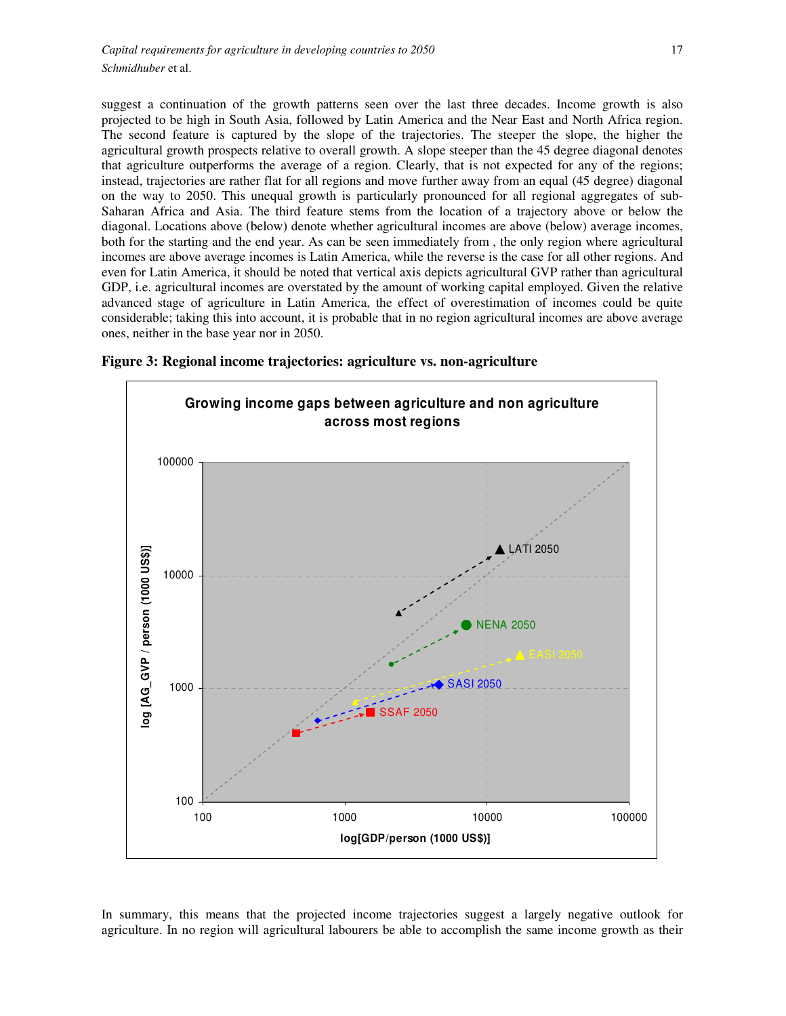suggest a continuation of the growth patterns seen over the last three decades. Income growth is also projected to be high in South Asia, followed by Latin America and the Near East and North Africa region. The second feature is captured by the slope of the trajectories. The steeper the slope, the higher the agricultural growth prospects relative to overall growth. A slope steeper than the 45 degree diagonal denotes that agriculture outperforms the average of a region. Clearly, that is not expected for any of the regions; instead, trajectories are rather flat for all regions and move further away from an equal (45 degree) diagonal on the way to 2050. This unequal growth is particularly pronounced for all regional aggregates of sub-Saharan Africa and Asia. The third feature stems from the location of a trajectory above or below the diagonal. Locations above (below) denote whether agricultural incomes are above (below) average incomes, both for the starting and the end year. As can be seen immediately from , the only region where agricultural incomes are above average incomes is Latin America, while the reverse is the case for all other regions. And even for Latin America, it should be noted that vertical axis depicts agricultural GVP rather than agricultural GDP, i.e. agricultural incomes are overstated by the amount of working capital employed. Given the relative advanced stage of agriculture in Latin America, the effect of overestimation of incomes could be quite considerable; taking this into account, it is probable that in no region agricultural incomes are above average ones, neither in the base year nor in 2050.



**Figure 3: Regional income trajectories: agriculture vs. non-agriculture** 

In summary, this means that the projected income trajectories suggest a largely negative outlook for agriculture. In no region will agricultural labourers be able to accomplish the same income growth as their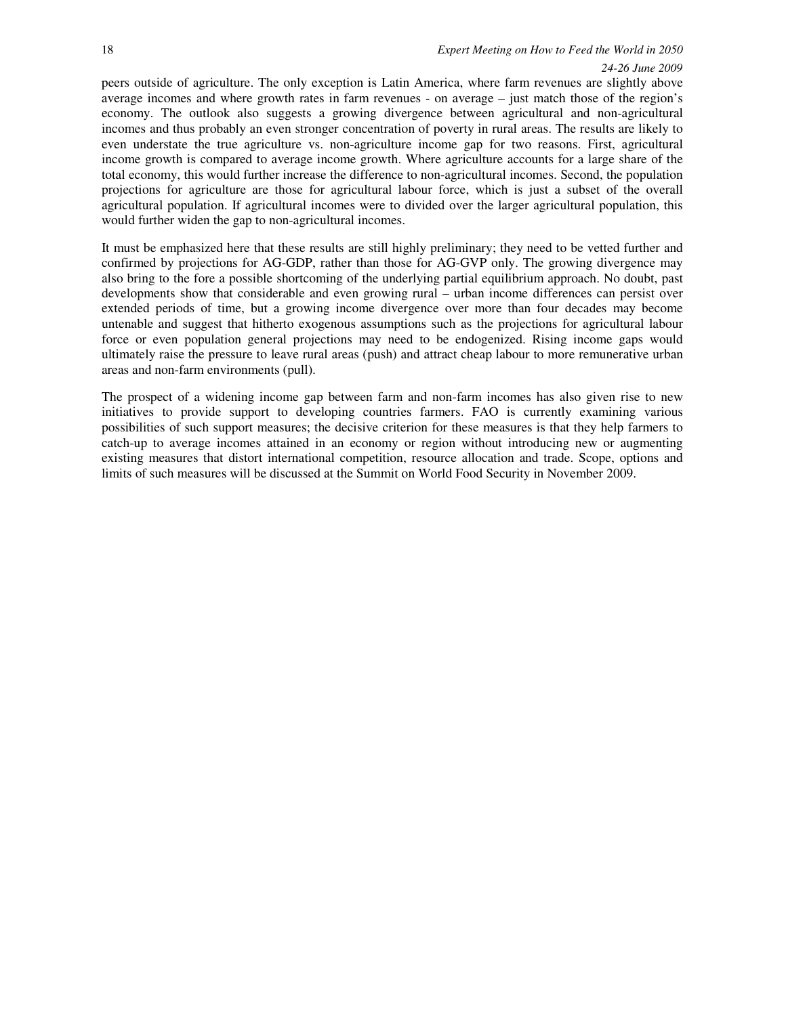peers outside of agriculture. The only exception is Latin America, where farm revenues are slightly above average incomes and where growth rates in farm revenues - on average – just match those of the region's economy. The outlook also suggests a growing divergence between agricultural and non-agricultural incomes and thus probably an even stronger concentration of poverty in rural areas. The results are likely to even understate the true agriculture vs. non-agriculture income gap for two reasons. First, agricultural income growth is compared to average income growth. Where agriculture accounts for a large share of the total economy, this would further increase the difference to non-agricultural incomes. Second, the population projections for agriculture are those for agricultural labour force, which is just a subset of the overall agricultural population. If agricultural incomes were to divided over the larger agricultural population, this would further widen the gap to non-agricultural incomes.

It must be emphasized here that these results are still highly preliminary; they need to be vetted further and confirmed by projections for AG-GDP, rather than those for AG-GVP only. The growing divergence may also bring to the fore a possible shortcoming of the underlying partial equilibrium approach. No doubt, past developments show that considerable and even growing rural – urban income differences can persist over extended periods of time, but a growing income divergence over more than four decades may become untenable and suggest that hitherto exogenous assumptions such as the projections for agricultural labour force or even population general projections may need to be endogenized. Rising income gaps would ultimately raise the pressure to leave rural areas (push) and attract cheap labour to more remunerative urban areas and non-farm environments (pull).

The prospect of a widening income gap between farm and non-farm incomes has also given rise to new initiatives to provide support to developing countries farmers. FAO is currently examining various possibilities of such support measures; the decisive criterion for these measures is that they help farmers to catch-up to average incomes attained in an economy or region without introducing new or augmenting existing measures that distort international competition, resource allocation and trade. Scope, options and limits of such measures will be discussed at the Summit on World Food Security in November 2009.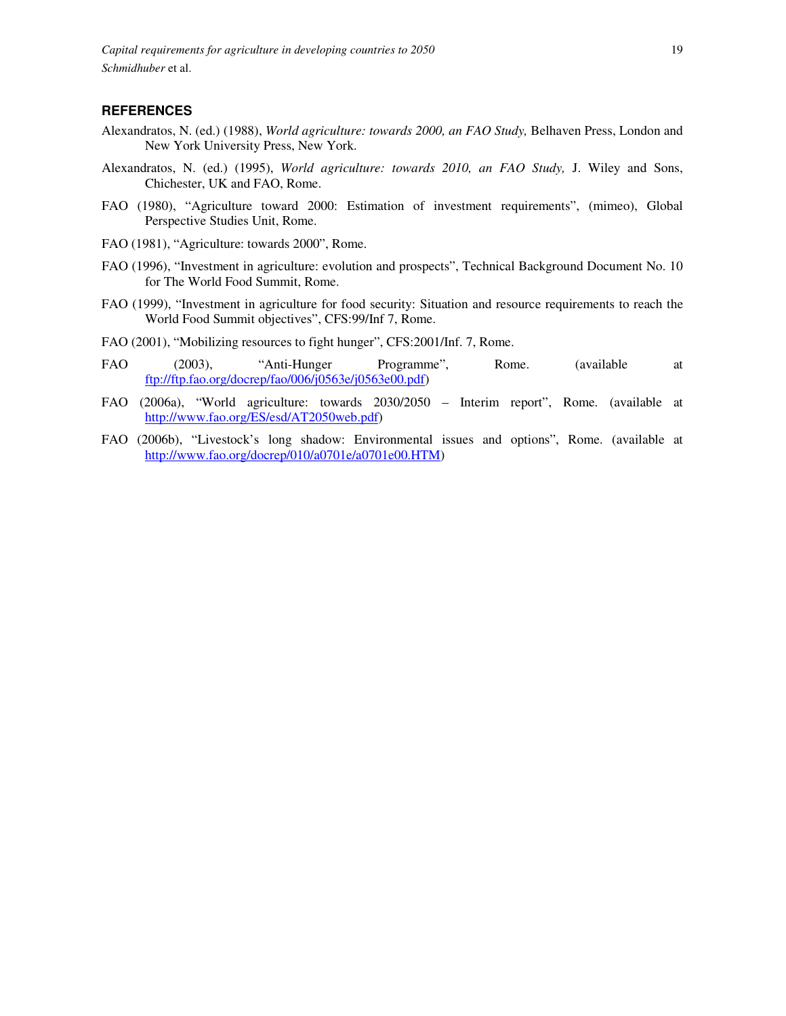*Capital requirements for agriculture in developing countries to 2050* 19 *Schmidhuber* et al.

### **REFERENCES**

- Alexandratos, N. (ed.) (1988), *World agriculture: towards 2000, an FAO Study,* Belhaven Press, London and New York University Press, New York.
- Alexandratos, N. (ed.) (1995), *World agriculture: towards 2010, an FAO Study,* J. Wiley and Sons, Chichester, UK and FAO, Rome.
- FAO (1980), "Agriculture toward 2000: Estimation of investment requirements", (mimeo), Global Perspective Studies Unit, Rome.
- FAO (1981), "Agriculture: towards 2000", Rome.
- FAO (1996), "Investment in agriculture: evolution and prospects", Technical Background Document No. 10 for The World Food Summit, Rome.
- FAO (1999), "Investment in agriculture for food security: Situation and resource requirements to reach the World Food Summit objectives", CFS:99/Inf 7, Rome.
- FAO (2001), "Mobilizing resources to fight hunger", CFS:2001/Inf. 7, Rome.
- FAO (2003), "Anti-Hunger Programme", Rome. (available at ftp://ftp.fao.org/docrep/fao/006/j0563e/j0563e00.pdf)
- FAO (2006a), "World agriculture: towards 2030/2050 Interim report", Rome. (available at http://www.fao.org/ES/esd/AT2050web.pdf)
- FAO (2006b), "Livestock's long shadow: Environmental issues and options", Rome. (available at http://www.fao.org/docrep/010/a0701e/a0701e00.HTM)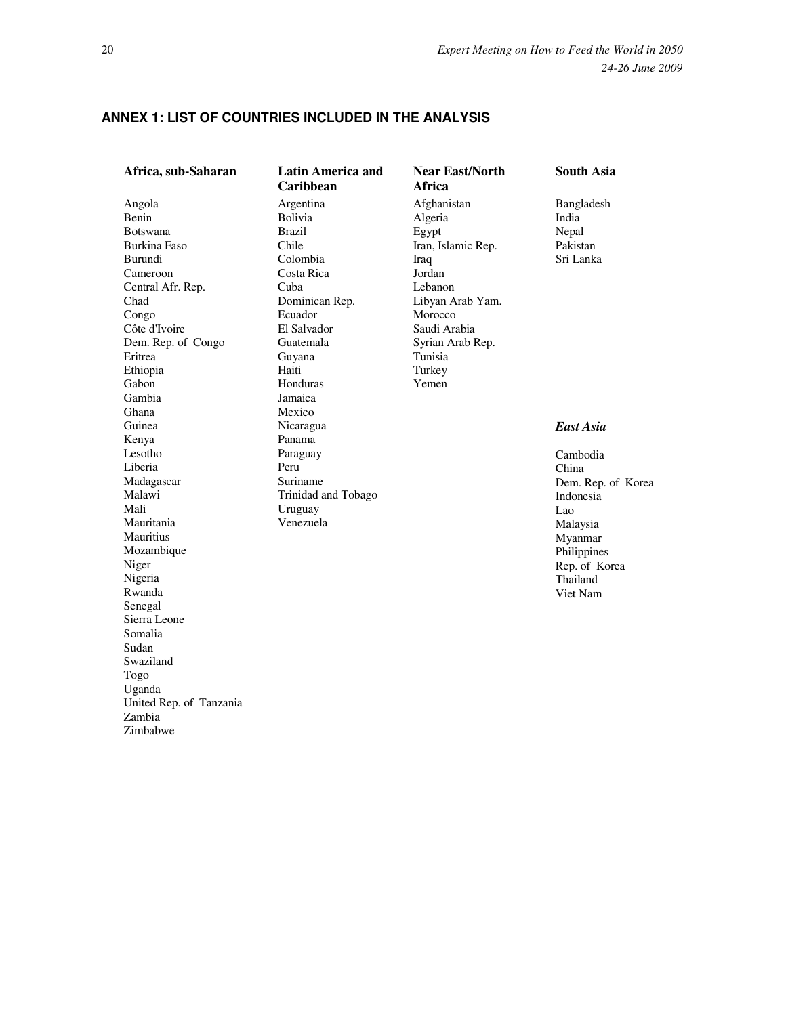# **ANNEX 1: LIST OF COUNTRIES INCLUDED IN THE ANALYSIS**

| Africa, sub-Saharan                                                                                                                                                                                                                | <b>Latin America and</b><br>Caribbean                                                                                                                                           | <b>Near East/North</b><br>Africa                                                                                                                                                    | <b>South Asia</b>                                                                                                                                              |  |  |  |
|------------------------------------------------------------------------------------------------------------------------------------------------------------------------------------------------------------------------------------|---------------------------------------------------------------------------------------------------------------------------------------------------------------------------------|-------------------------------------------------------------------------------------------------------------------------------------------------------------------------------------|----------------------------------------------------------------------------------------------------------------------------------------------------------------|--|--|--|
| Angola<br><b>Benin</b><br><b>Botswana</b><br><b>Burkina Faso</b><br>Burundi<br>Cameroon<br>Central Afr. Rep.<br>Chad<br>Congo<br>Côte d'Ivoire<br>Dem. Rep. of Congo<br>Eritrea<br>Ethiopia<br>Gabon                               | Argentina<br><b>Bolivia</b><br><b>Brazil</b><br>Chile<br>Colombia<br>Costa Rica<br>Cuba<br>Dominican Rep.<br>Ecuador<br>El Salvador<br>Guatemala<br>Guyana<br>Haiti<br>Honduras | Afghanistan<br>Algeria<br>Egypt<br>Iran, Islamic Rep.<br>Iraq<br>Jordan<br>Lebanon<br>Libyan Arab Yam.<br>Morocco<br>Saudi Arabia<br>Syrian Arab Rep.<br>Tunisia<br>Turkey<br>Yemen | Bangladesh<br>India<br>Nepal<br>Pakistan<br>Sri Lanka                                                                                                          |  |  |  |
| Gambia<br>Ghana<br>Guinea<br>Kenya<br>Lesotho<br>Liberia<br>Madagascar<br>Malawi<br>Mali<br>Mauritania<br><b>Mauritius</b><br>Mozambique<br>Niger<br>Nigeria<br>Rwanda<br>Senegal<br>Sierra Leone<br>Somalia<br>Sudan<br>Swaziland | Jamaica<br>Mexico<br>Nicaragua<br>Panama<br>Paraguay<br>Peru<br>Suriname<br>Trinidad and Tobago<br>Uruguay<br>Venezuela                                                         |                                                                                                                                                                                     | <b>East Asia</b><br>Cambodia<br>China<br>Dem. Rep. of Korea<br>Indonesia<br>Lao<br>Malaysia<br>Myanmar<br>Philippines<br>Rep. of Korea<br>Thailand<br>Viet Nam |  |  |  |
| Togo<br>Uganda<br>United Rep. of Tanzania<br>Zambia<br>Zimbabwe                                                                                                                                                                    |                                                                                                                                                                                 |                                                                                                                                                                                     |                                                                                                                                                                |  |  |  |